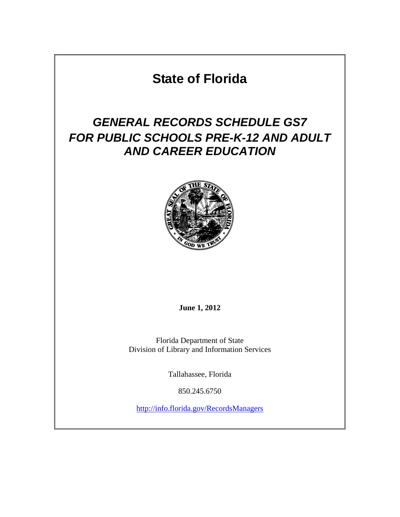# **State of Florida**

# *GENERAL RECORDS SCHEDULE GS7 FOR PUBLIC SCHOOLS PRE-K-12 AND ADULT AND CAREER EDUCATION*



**June 1, 2012** 

Florida Department of State Division of Library and Information Services

Tallahassee, Florida

850.245.6750

<http://info.florida.gov/RecordsManagers>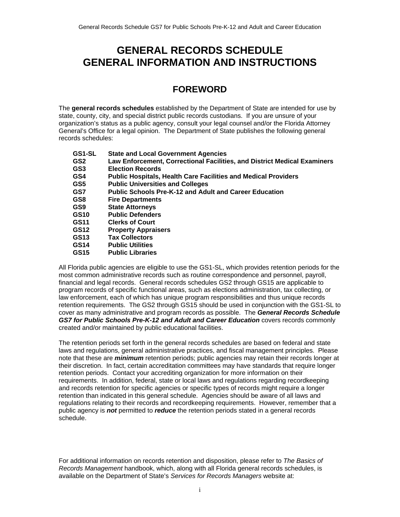# <span id="page-1-0"></span>**GENERAL RECORDS SCHEDULE GENERAL INFORMATION AND INSTRUCTIONS**

# **FOREWORD**

The **general records schedules** established by the Department of State are intended for use by state, county, city, and special district public records custodians. If you are unsure of your organization's status as a public agency, consult your legal counsel and/or the Florida Attorney General's Office for a legal opinion. The Department of State publishes the following general records schedules:

| GS1-SL | <b>State and Local Government Agencies</b>                               |
|--------|--------------------------------------------------------------------------|
| GS2    | Law Enforcement, Correctional Facilities, and District Medical Examiners |
| GS3    | <b>Election Records</b>                                                  |
| GS4    | <b>Public Hospitals, Health Care Facilities and Medical Providers</b>    |
| GS5    | <b>Public Universities and Colleges</b>                                  |
| GS7    | <b>Public Schools Pre-K-12 and Adult and Career Education</b>            |
| GS8    | <b>Fire Departments</b>                                                  |
| GS9    | <b>State Attorneys</b>                                                   |
| GS10   | <b>Public Defenders</b>                                                  |
| GS11   | <b>Clerks of Court</b>                                                   |
| GS12   | <b>Property Appraisers</b>                                               |
| GS13   | <b>Tax Collectors</b>                                                    |
| GS14   | <b>Public Utilities</b>                                                  |
| GS15   | <b>Public Libraries</b>                                                  |

All Florida public agencies are eligible to use the GS1-SL, which provides retention periods for the most common administrative records such as routine correspondence and personnel, payroll, financial and legal records. General records schedules GS2 through GS15 are applicable to program records of specific functional areas, such as elections administration, tax collecting, or law enforcement, each of which has unique program responsibilities and thus unique records retention requirements. The GS2 through GS15 should be used in conjunction with the GS1-SL to cover as many administrative and program records as possible. The *General Records Schedule*  GS7 for Public Schools Pre-K-12 and Adult and Career Education covers records commonly created and/or maintained by public educational facilities.

The retention periods set forth in the general records schedules are based on federal and state laws and regulations, general administrative practices, and fiscal management principles. Please note that these are *minimum* retention periods; public agencies may retain their records longer at their discretion. In fact, certain accreditation committees may have standards that require longer retention periods. Contact your accrediting organization for more information on their requirements. In addition, federal, state or local laws and regulations regarding recordkeeping and records retention for specific agencies or specific types of records might require a longer retention than indicated in this general schedule. Agencies should be aware of all laws and regulations relating to their records and recordkeeping requirements. However, remember that a public agency is *not* permitted to *reduce* the retention periods stated in a general records schedule.

For additional information on records retention and disposition, please refer to *The Basics of Records Management* handbook, which, along with all Florida general records schedules, is available on the Department of State's *Services for Records Managers* website at: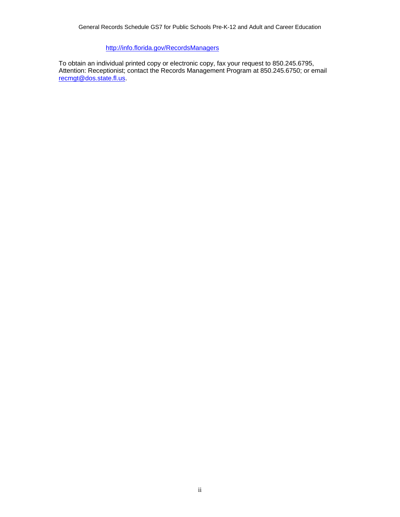## <http://info.florida.gov/RecordsManagers>

To obtain an individual printed copy or electronic copy, fax your request to 850.245.6795, Attention: Receptionist; contact the Records Management Program at 850.245.6750; or email [recmgt@dos.state.fl.us.](mailto:recmgt@dos.state.fl.us)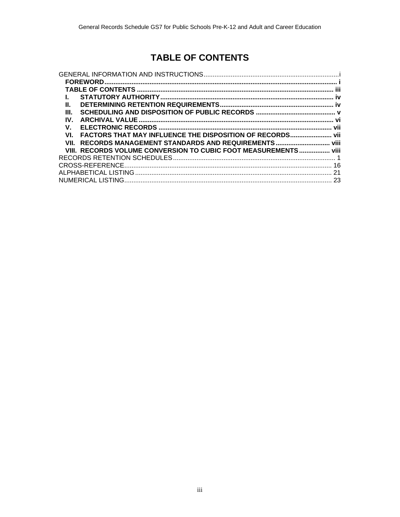# **TABLE OF CONTENTS**

<span id="page-3-0"></span>

| Ш.                                                               |     |
|------------------------------------------------------------------|-----|
| III.                                                             |     |
| IV.                                                              |     |
| V.                                                               | vii |
| FACTORS THAT MAY INFLUENCE THE DISPOSITION OF RECORDS vii<br>VI. |     |
| RECORDS MANAGEMENT STANDARDS AND REQUIREMENTS  viii<br>VII.      |     |
| VIII. RECORDS VOLUME CONVERSION TO CUBIC FOOT MEASUREMENTS viii  |     |
|                                                                  |     |
|                                                                  | 16  |
|                                                                  |     |
|                                                                  |     |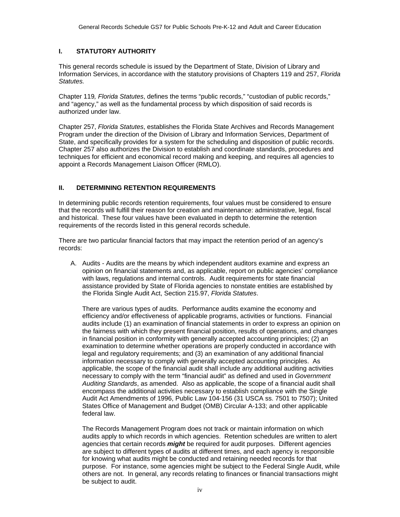### <span id="page-4-0"></span>**I. STATUTORY AUTHORITY**

This general records schedule is issued by the Department of State, Division of Library and Information Services, in accordance with the statutory provisions of Chapters 119 and 257, *Florida Statutes.*

Chapter 119*, Florida Statutes*, defines the terms "public records," "custodian of public records," and "agency," as well as the fundamental process by which disposition of said records is authorized under law.

Chapter 257, *Florida Statutes*, establishes the Florida State Archives and Records Management Program under the direction of the Division of Library and Information Services, Department of State, and specifically provides for a system for the scheduling and disposition of public records. Chapter 257 also authorizes the Division to establish and coordinate standards, procedures and techniques for efficient and economical record making and keeping, and requires all agencies to appoint a Records Management Liaison Officer (RMLO).

### **II. DETERMINING RETENTION REQUIREMENTS**

In determining public records retention requirements, four values must be considered to ensure that the records will fulfill their reason for creation and maintenance: administrative, legal, fiscal and historical. These four values have been evaluated in depth to determine the retention requirements of the records listed in this general records schedule.

There are two particular financial factors that may impact the retention period of an agency's records:

A. Audits - Audits are the means by which independent auditors examine and express an opinion on financial statements and, as applicable, report on public agencies' compliance with laws, regulations and internal controls. Audit requirements for state financial assistance provided by State of Florida agencies to nonstate entities are established by the Florida Single Audit Act, Section 215.97, *Florida Statutes*.

There are various types of audits. Performance audits examine the economy and efficiency and/or effectiveness of applicable programs, activities or functions. Financial audits include (1) an examination of financial statements in order to express an opinion on the fairness with which they present financial position, results of operations, and changes in financial position in conformity with generally accepted accounting principles; (2) an examination to determine whether operations are properly conducted in accordance with legal and regulatory requirements; and (3) an examination of any additional financial information necessary to comply with generally accepted accounting principles. As applicable, the scope of the financial audit shall include any additional auditing activities necessary to comply with the term "financial audit" as defined and used in *Government Auditing Standards*, as amended. Also as applicable, the scope of a financial audit shall encompass the additional activities necessary to establish compliance with the Single Audit Act Amendments of 1996, Public Law 104-156 (31 USCA ss. 7501 to 7507); United States Office of Management and Budget (OMB) Circular A-133; and other applicable federal law.

The Records Management Program does not track or maintain information on which audits apply to which records in which agencies. Retention schedules are written to alert agencies that certain records *might* be required for audit purposes. Different agencies are subject to different types of audits at different times, and each agency is responsible for knowing what audits might be conducted and retaining needed records for that purpose. For instance, some agencies might be subject to the Federal Single Audit, while others are not. In general, any records relating to finances or financial transactions might be subject to audit.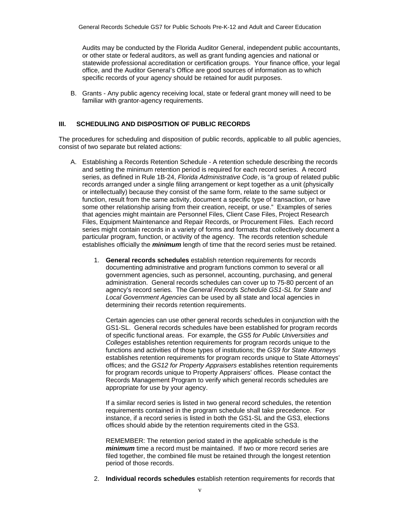<span id="page-5-0"></span>Audits may be conducted by the Florida Auditor General, independent public accountants, or other state or federal auditors, as well as grant funding agencies and national or statewide professional accreditation or certification groups. Your finance office, your legal office, and the Auditor General's Office are good sources of information as to which specific records of your agency should be retained for audit purposes.

B. Grants - Any public agency receiving local, state or federal grant money will need to be familiar with grantor-agency requirements.

### **III. SCHEDULING AND DISPOSITION OF PUBLIC RECORDS**

The procedures for scheduling and disposition of public records, applicable to all public agencies, consist of two separate but related actions:

- A. Establishing a Records Retention Schedule A retention schedule describing the records and setting the minimum retention period is required for each record series. A record series, as defined in Rule 1B-24, *Florida Administrative Code*, is "a group of related public records arranged under a single filing arrangement or kept together as a unit (physically or intellectually) because they consist of the same form, relate to the same subject or function, result from the same activity, document a specific type of transaction, or have some other relationship arising from their creation, receipt, or use." Examples of series that agencies might maintain are Personnel Files, Client Case Files, Project Research Files, Equipment Maintenance and Repair Records, or Procurement Files. Each record series might contain records in a variety of forms and formats that collectively document a particular program, function, or activity of the agency. The records retention schedule establishes officially the *minimum* length of time that the record series must be retained.
	- 1. **General records schedules** establish retention requirements for records documenting administrative and program functions common to several or all government agencies, such as personnel, accounting, purchasing, and general administration. General records schedules can cover up to 75-80 percent of an agency's record series. The *General Records Schedule GS1-SL for State and Local Government Agencies* can be used by all state and local agencies in determining their records retention requirements.

Certain agencies can use other general records schedules in conjunction with the GS1-SL. General records schedules have been established for program records of specific functional areas. For example, the *GS5 for Public Universities and Colleges* establishes retention requirements for program records unique to the functions and activities of those types of institutions; the *GS9 for State Attorneys* establishes retention requirements for program records unique to State Attorneys' offices; and the *GS12 for Property Appraisers* establishes retention requirements for program records unique to Property Appraisers' offices. Please contact the Records Management Program to verify which general records schedules are appropriate for use by your agency.

If a similar record series is listed in two general record schedules, the retention requirements contained in the program schedule shall take precedence. For instance, if a record series is listed in both the GS1-SL and the GS3, elections offices should abide by the retention requirements cited in the GS3.

REMEMBER: The retention period stated in the applicable schedule is the *minimum* time a record must be maintained. If two or more record series are filed together, the combined file must be retained through the longest retention period of those records.

2. **Individual records schedules** establish retention requirements for records that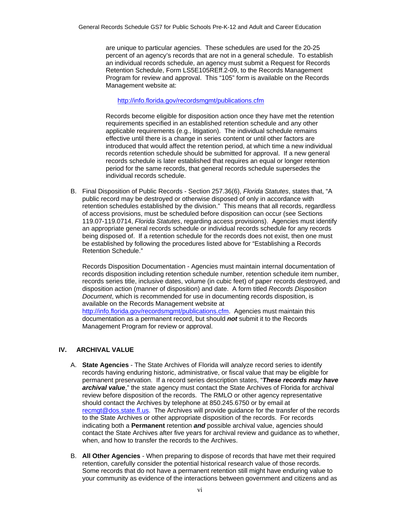<span id="page-6-0"></span>are unique to particular agencies. These schedules are used for the 20-25 percent of an agency's records that are not in a general schedule. To establish an individual records schedule, an agency must submit a Request for Records Retention Schedule, Form LS5E105REff.2-09, to the Records Management Program for review and approval. This "105" form is available on the Records Management website at:

<http://info.florida.gov/recordsmgmt/publications.cfm>

Records become eligible for disposition action once they have met the retention requirements specified in an established retention schedule and any other applicable requirements (e.g., litigation). The individual schedule remains effective until there is a change in series content or until other factors are introduced that would affect the retention period, at which time a new individual records retention schedule should be submitted for approval. If a new general records schedule is later established that requires an equal or longer retention period for the same records, that general records schedule supersedes the individual records schedule.

B. Final Disposition of Public Records - Section 257.36(6), *Florida Statutes*, states that, "A public record may be destroyed or otherwise disposed of only in accordance with retention schedules established by the division." This means that all records, regardless of access provisions, must be scheduled before disposition can occur (see Sections 119.07-119.0714, *Florida Statutes*, regarding access provisions). Agencies must identify an appropriate general records schedule or individual records schedule for any records being disposed of. If a retention schedule for the records does not exist, then one must be established by following the procedures listed above for "Establishing a Records Retention Schedule."

Records Disposition Documentation - Agencies must maintain internal documentation of records disposition including retention schedule number, retention schedule item number, records series title, inclusive dates, volume (in cubic feet) of paper records destroyed, and disposition action (manner of disposition) and date. A form titled *Records Disposition Document*, which is recommended for use in documenting records disposition, is available on the Records Management website at <http://info.florida.gov/recordsmgmt/publications.cfm>. Agencies must maintain this documentation as a permanent record, but should *not* submit it to the Records Management Program for review or approval.

### **IV. ARCHIVAL VALUE**

- A. **State Agencies** The State Archives of Florida will analyze record series to identify records having enduring historic, administrative, or fiscal value that may be eligible for permanent preservation. If a record series description states, "*These records may have archival value*," the state agency must contact the State Archives of Florida for archival review before disposition of the records. The RMLO or other agency representative should contact the Archives by telephone at 850.245.6750 or by email at [recmgt@dos.state.fl.us.](mailto:recmgt@dos.state.fl.us) The Archives will provide guidance for the transfer of the records to the State Archives or other appropriate disposition of the records. For records indicating both a **Permanent** retention *and* possible archival value, agencies should contact the State Archives after five years for archival review and guidance as to whether, when, and how to transfer the records to the Archives.
- B. **All Other Agencies** When preparing to dispose of records that have met their required retention, carefully consider the potential historical research value of those records. Some records that do not have a permanent retention still might have enduring value to your community as evidence of the interactions between government and citizens and as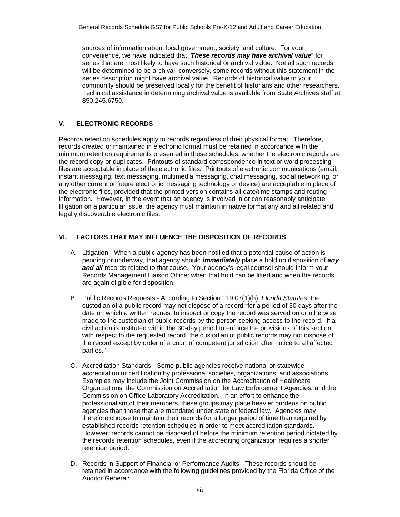<span id="page-7-0"></span>sources of information about local government, society, and culture. For your convenience, we have indicated that "*These records may have archival value*" for series that are most likely to have such historical or archival value. Not all such records will be determined to be archival; conversely, some records without this statement in the series description might have archival value. Records of historical value to your community should be preserved locally for the benefit of historians and other researchers. Technical assistance in determining archival value is available from State Archives staff at 850.245.6750.

### **V. ELECTRONIC RECORDS**

Records retention schedules apply to records regardless of their physical format. Therefore, records created or maintained in electronic format must be retained in accordance with the minimum retention requirements presented in these schedules, whether the electronic records are the record copy or duplicates. Printouts of standard correspondence in text or word processing files are acceptable in place of the electronic files. Printouts of electronic communications (email, instant messaging, text messaging, multimedia messaging, chat messaging, social networking, or any other current or future electronic messaging technology or device) are acceptable in place of the electronic files, provided that the printed version contains all date/time stamps and routing information. However, in the event that an agency is involved in or can reasonably anticipate litigation on a particular issue, the agency must maintain in native format any and all related and legally discoverable electronic files.

### **VI. FACTORS THAT MAY INFLUENCE THE DISPOSITION OF RECORDS**

- A. Litigation When a public agency has been notified that a potential cause of action is pending or underway, that agency should *immediately* place a hold on disposition of *any and all* records related to that cause. Your agency's legal counsel should inform your Records Management Liaison Officer when that hold can be lifted and when the records are again eligible for disposition.
- B. Public Records Requests According to Section 119.07(1)(h), *Florida Statutes*, the custodian of a public record may not dispose of a record "for a period of 30 days after the date on which a written request to inspect or copy the record was served on or otherwise made to the custodian of public records by the person seeking access to the record. If a civil action is instituted within the 30-day period to enforce the provisions of this section with respect to the requested record, the custodian of public records may not dispose of the record except by order of a court of competent jurisdiction after notice to all affected parties."
- C. Accreditation Standards Some public agencies receive national or statewide accreditation or certification by professional societies, organizations, and associations. Examples may include the Joint Commission on the Accreditation of Healthcare Organizations, the Commission on Accreditation for Law Enforcement Agencies, and the Commission on Office Laboratory Accreditation. In an effort to enhance the professionalism of their members, these groups may place heavier burdens on public agencies than those that are mandated under state or federal law. Agencies may therefore choose to maintain their records for a longer period of time than required by established records retention schedules in order to meet accreditation standards. However, records cannot be disposed of before the minimum retention period dictated by the records retention schedules, even if the accrediting organization requires a shorter retention period.
- D. Records in Support of Financial or Performance Audits These records should be retained in accordance with the following guidelines provided by the Florida Office of the Auditor General: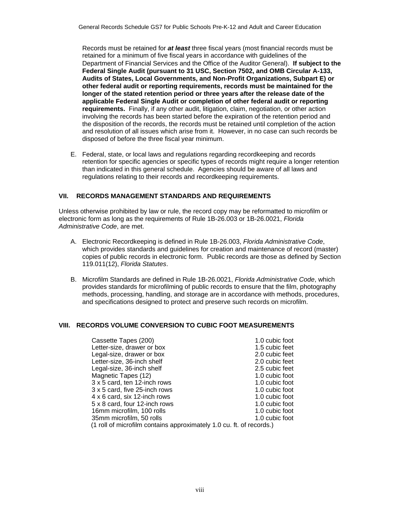<span id="page-8-0"></span>Records must be retained for *at least* three fiscal years (most financial records must be retained for a minimum of five fiscal years in accordance with guidelines of the Department of Financial Services and the Office of the Auditor General). **If subject to the Federal Single Audit (pursuant to 31 USC, Section 7502, and OMB Circular A-133, Audits of States, Local Governments, and Non-Profit Organizations, Subpart E) or other federal audit or reporting requirements, records must be maintained for the longer of the stated retention period or three years after the release date of the applicable Federal Single Audit or completion of other federal audit or reporting requirements.** Finally, if any other audit, litigation, claim, negotiation, or other action involving the records has been started before the expiration of the retention period and the disposition of the records, the records must be retained until completion of the action and resolution of all issues which arise from it. However, in no case can such records be disposed of before the three fiscal year minimum.

E. Federal, state, or local laws and regulations regarding recordkeeping and records retention for specific agencies or specific types of records might require a longer retention than indicated in this general schedule. Agencies should be aware of all laws and regulations relating to their records and recordkeeping requirements.

### **VII. RECORDS MANAGEMENT STANDARDS AND REQUIREMENTS**

Unless otherwise prohibited by law or rule, the record copy may be reformatted to microfilm or electronic form as long as the requirements of Rule 1B-26.003 or 1B-26.0021, *Florida Administrative Code*, are met.

- A. Electronic Recordkeeping is defined in Rule 1B-26.003, *Florida Administrative Code*, which provides standards and guidelines for creation and maintenance of record (master) copies of public records in electronic form. Public records are those as defined by Section 119.011(12), *Florida Statutes*.
- B. Microfilm Standards are defined in Rule 1B-26.0021, *Florida Administrative Code*, which provides standards for microfilming of public records to ensure that the film, photography methods, processing, handling, and storage are in accordance with methods, procedures, and specifications designed to protect and preserve such records on microfilm.

### **VIII. RECORDS VOLUME CONVERSION TO CUBIC FOOT MEASUREMENTS**

| Cassette Tapes (200)                                                                  | 1.0 cubic foot |
|---------------------------------------------------------------------------------------|----------------|
| Letter-size, drawer or box                                                            | 1.5 cubic feet |
| Legal-size, drawer or box                                                             | 2.0 cubic feet |
| Letter-size, 36-inch shelf                                                            | 2.0 cubic feet |
| Legal-size, 36-inch shelf                                                             | 2.5 cubic feet |
| Magnetic Tapes (12)                                                                   | 1.0 cubic foot |
| 3 x 5 card, ten 12-inch rows                                                          | 1.0 cubic foot |
| 3 x 5 card, five 25-inch rows                                                         | 1.0 cubic foot |
| 4 x 6 card, six 12-inch rows                                                          | 1.0 cubic foot |
| 5 x 8 card, four 12-inch rows                                                         | 1.0 cubic foot |
| 16mm microfilm, 100 rolls                                                             | 1.0 cubic foot |
| 35mm microfilm, 50 rolls                                                              | 1.0 cubic foot |
| $(1 \text{ roll of microfilm contains approximately } 1.0 \text{ cut}$ ft of records) |                |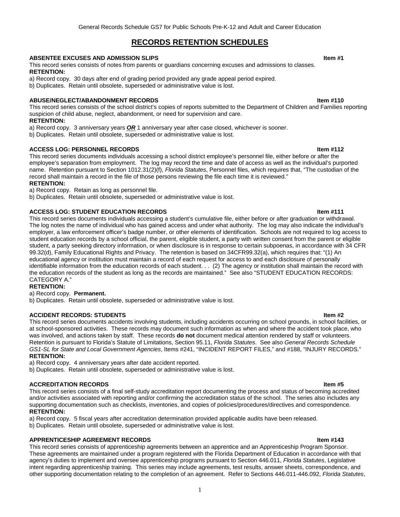### **RECORDS RETENTION SCHEDULES**

#### <span id="page-9-0"></span>**ABSENTEE EXCUSES AND ADMISSION SLIPS Internal and the set of the set of the set of the set of the set of the set of the set of the set of the set of the set of the set of the set of the set of the set of the set of the**

This record series consists of notes from parents or guardians concerning excuses and admissions to classes. **RETENTION:**

- a) Record copy. 30 days after end of grading period provided any grade appeal period expired.
- b) Duplicates. Retain until obsolete, superseded or administrative value is lost.

#### **ABUSE/NEGLECT/ABANDONMENT RECORDS Item #110**

This record series consists of the school district's copies of reports submitted to the Department of Children and Families reporting suspicion of child abuse, neglect, abandonment, or need for supervision and care.

#### **RETENTION:**

a) Record copy. 3 anniversary years *OR* 1 anniversary year after case closed, whichever is sooner.

b) Duplicates. Retain until obsolete, superseded or administrative value is lost.

#### **ACCESS LOG: PERSONNEL RECORDS Item #112**

This record series documents individuals accessing a school district employee's personnel file, either before or after the employee's separation from employment. The log may record the time and date of access as well as the individual's purported name. Retention pursuant to Section 1012.31(2)(f), *Florida Statutes*, Personnel files, which requires that, "The custodian of the record shall maintain a record in the file of those persons reviewing the file each time it is reviewed."

### **RETENTION:**

a) Record copy. Retain as long as personnel file.

b) Duplicates. Retain until obsolete, superseded or administrative value is lost.

#### **ACCESS LOG: STUDENT EDUCATION RECORDS Internal Contract Contract Contract Contract Contract Contract Contract Contract Contract Contract Contract Contract Contract Contract Contract Contract Contract Contract Contract C**

This record series documents individuals accessing a student's cumulative file, either before or after graduation or withdrawal. The log notes the name of individual who has gained access and under what authority. The log may also indicate the individual's employer, a law enforcement officer's badge number, or other elements of identification. Schools are not required to log access to student education records by a school official, the parent, eligible student, a party with written consent from the parent or eligible student, a party seeking directory information, or when disclosure is in response to certain subpoenas, in accordance with 34 CFR 99.32(d), Family Educational Rights and Privacy. The retention is based on 34CFR99.32(a), which requires that: "(1) An educational agency or institution must maintain a record of each request for access to and each disclosure of personally identifiable information from the education records of each student. . . (2) The agency or institution shall maintain the record with the education records of the student as long as the records are maintained." See also "STUDENT EDUCATION RECORDS: CATEGORY A."

#### **RETENTION:**

#### a) Record copy. **Permanent.**

b) Duplicates. Retain until obsolete, superseded or administrative value is lost.

#### **ACCIDENT RECORDS: STUDENTS Item #2**

This record series documents accidents involving students, including accidents occurring on school grounds, in school facilities, or at school-sponsored activities. These records may document such information as when and where the accident took place, who was involved, and actions taken by staff. These records **do not** document medical attention rendered by staff or volunteers. Retention is pursuant to Florida's Statute of Limitations, Section 95.11, *Florida Statutes*. See also *General Records Schedule GS1-SL for State and Local Government Agencies*, Items #241, "INCIDENT REPORT FILES," and #188, "INJURY RECORDS." **RETENTION:**

a) Record copy. 4 anniversary years after date accident reported.

b) Duplicates. Retain until obsolete, superseded or administrative value is lost.

#### **ACCREDITATION RECORDS Item #5**

This record series consists of a final self-study accreditation report documenting the process and status of becoming accredited and/or activities associated with reporting and/or confirming the accreditation status of the school. The series also includes any supporting documentation such as checklists, inventories, and copies of policies/procedures/directives and correspondence. **RETENTION:**

a) Record copy. 5 fiscal years after accreditation determination provided applicable audits have been released.

b) Duplicates. Retain until obsolete, superseded or administrative value is lost.

#### **APPRENTICESHIP AGREEMENT RECORDS Item #143**

This record series consists of apprenticeship agreements between an apprentice and an Apprenticeship Program Sponsor. These agreements are maintained under a program registered with the Florida Department of Education in accordance with that agency's duties to implement and oversee apprenticeship programs pursuant to Section 446.011, *Florida Statutes*, Legislative intent regarding apprenticeship training. This series may include agreements, test results, answer sheets, correspondence, and other supporting documentation relating to the completion of an agreement. Refer to Sections 446.011-446.092, *Florida Statutes*,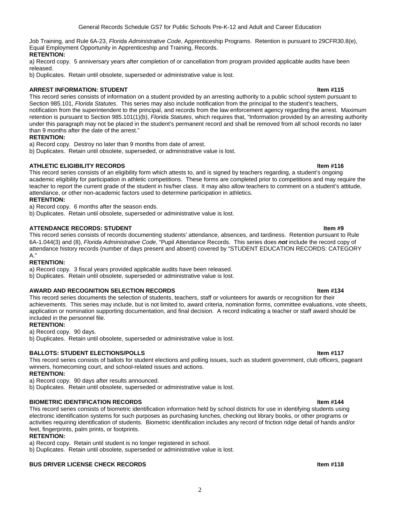Job Training, and Rule 6A-23, *Florida Administrative Code*, Apprenticeship Programs. Retention is pursuant to 29CFR30.8(e), Equal Employment Opportunity in Apprenticeship and Training, Records.

### **RETENTION:**

a) Record copy. 5 anniversary years after completion of or cancellation from program provided applicable audits have been released.

b) Duplicates. Retain until obsolete, superseded or administrative value is lost.

### **ARREST INFORMATION: STUDENT ITEM ARREST INFORMATION: STUDENT**

This record series consists of information on a student provided by an arresting authority to a public school system pursuant to Section 985.101, *Florida Statutes*. This series may also include notification from the principal to the student's teachers, notification from the superintendent to the principal, and records from the law enforcement agency regarding the arrest. Maximum retention is pursuant to Section 985.101(1)(b), *Florida Statutes*, which requires that, "Information provided by an arresting authority under this paragraph may not be placed in the student's permanent record and shall be removed from all school records no later than 9 months after the date of the arrest."

### **RETENTION:**

a) Record copy. Destroy no later than 9 months from date of arrest.

b) Duplicates. Retain until obsolete, superseded, or administrative value is lost.

### **ATHLETIC ELIGIBILITY RECORDS Item #116**

This record series consists of an eligibility form which attests to, and is signed by teachers regarding, a student's ongoing academic eligibility for participation in athletic competitions. These forms are completed prior to competitions and may require the teacher to report the current grade of the student in his/her class. It may also allow teachers to comment on a student's attitude, attendance, or other non-academic factors used to determine participation in athletics.

#### **RETENTION:**

a) Record copy. 6 months after the season ends.

b) Duplicates. Retain until obsolete, superseded or administrative value is lost.

### **ATTENDANCE RECORDS: STUDENT ITEM ASSESSMENT IN A SEXUAL EXAMPLE 2018 11:00 ITEM #9**

This record series consists of records documenting students' attendance, absences, and tardiness. Retention pursuant to Rule 6A-1.044(3) and (8), *Florida Administrative Code*, "Pupil Attendance Records. This series does *not* include the record copy of attendance history records (number of days present and absent) covered by "STUDENT EDUCATION RECORDS: CATEGORY A."

### **RETENTION:**

a) Record copy. 3 fiscal years provided applicable audits have been released.

b) Duplicates. Retain until obsolete, superseded or administrative value is lost.

### **AWARD AND RECOGNITION SELECTION RECORDS Item #134**

This record series documents the selection of students, teachers, staff or volunteers for awards or recognition for their achievements. This series may include, but is not limited to, award criteria, nomination forms, committee evaluations, vote sheets, application or nomination supporting documentation, and final decision. A record indicating a teacher or staff award should be included in the personnel file.

#### **RETENTION:**

a) Record copy. 90 days.

b) Duplicates. Retain until obsolete, superseded or administrative value is lost.

### **BALLOTS: STUDENT ELECTIONS/POLLS** In the state of the state of the state of the state of the state of the state of the state of the state of the state of the state of the state of the state of the state of the state of th

This record series consists of ballots for student elections and polling issues, such as student government, club officers, pageant winners, homecoming court, and school-related issues and actions.

### **RETENTION:**

a) Record copy. 90 days after results announced.

b) Duplicates. Retain until obsolete, superseded or administrative value is lost.

#### **BIOMETRIC IDENTIFICATION RECORDS Item #144**

This record series consists of biometric identification information held by school districts for use in identifying students using electronic identification systems for such purposes as purchasing lunches, checking out library books, or other programs or activities requiring identification of students. Biometric identification includes any record of friction ridge detail of hands and/or feet, fingerprints, palm prints, or footprints.

#### **RETENTION:**

a) Record copy. Retain until student is no longer registered in school.

b) Duplicates. Retain until obsolete, superseded or administrative value is lost.

### **BUS DRIVER LICENSE CHECK RECORDS In the set of the set of the set of the set of the set of the set of the set of the set of the set of the set of the set of the set of the set of the set of the set of the set of the set**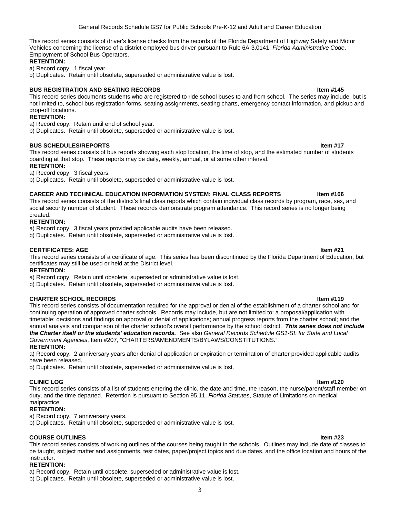This record series consists of driver's license checks from the records of the Florida Department of Highway Safety and Motor Vehicles concerning the license of a district employed bus driver pursuant to Rule [6A-3.0141](http://www.flrules.com/gateway/ruleNo.asp?id=6A-3.0141), *Florida Administrative Code*, Employment of School Bus Operators.

#### **RETENTION:**

a) Record copy. 1 fiscal year.

b) Duplicates. Retain until obsolete, superseded or administrative value is lost.

### **BUS REGISTRATION AND SEATING RECORDS IN A SEXUAL SEXUAL SERVICE SEXUAL SERVICE SEXUAL SERVICE SEXUAL SERVICE S**

This record series documents students who are registered to ride school buses to and from school. The series may include, but is not limited to, school bus registration forms, seating assignments, seating charts, emergency contact information, and pickup and drop-off locations.

### **RETENTION:**

a) Record copy. Retain until end of school year.

b) Duplicates. Retain until obsolete, superseded or administrative value is lost.

#### **BUS SCHEDULES/REPORTS Item #17**

This record series consists of bus reports showing each stop location, the time of stop, and the estimated number of students boarding at that stop. These reports may be daily, weekly, annual, or at some other interval. **RETENTION:**

a) Record copy. 3 fiscal years.

b) Duplicates. Retain until obsolete, superseded or administrative value is lost.

### CAREER AND TECHNICAL EDUCATION INFORMATION SYSTEM: FINAL CLASS REPORTS **INCOLL 18** Item #106

This record series consists of the district's final class reports which contain individual class records by program, race, sex, and social security number of student. These records demonstrate program attendance. This record series is no longer being created.

### **RETENTION:**

a) Record copy. 3 fiscal years provided applicable audits have been released.

b) Duplicates. Retain until obsolete, superseded or administrative value is lost.

#### **CERTIFICATES: AGE Item #21**

This record series consists of a certificate of age. This series has been discontinued by the Florida Department of Education, but certificates may still be used or held at the District level.

#### **RETENTION:**

a) Record copy. Retain until obsolete, superseded or administrative value is lost.

b) Duplicates. Retain until obsolete, superseded or administrative value is lost.

#### **CHARTER SCHOOL RECORDS Item #119**

This record series consists of documentation required for the approval or denial of the establishment of a charter school and for continuing operation of approved charter schools. Records may include, but are not limited to: a proposal/application with timetable; decisions and findings on approval or denial of applications; annual progress reports from the charter school; and the annual analysis and comparison of the charter school's overall performance by the school district. *This series does not include the Charter itself or the students' education records.* See also *General Records Schedule GS1-SL for State and Local* 

#### *Government Agencies*, Item #207, "CHARTERS/AMENDMENTS/BYLAWS/CONSTITUTIONS." **RETENTION:**

a) Record copy. 2 anniversary years after denial of application or expiration or termination of charter provided applicable audits have been released.

b) Duplicates. Retain until obsolete, superseded or administrative value is lost.

**CLINIC LOG Item #120**  This record series consists of a list of students entering the clinic, the date and time, the reason, the nurse/parent/staff member on duty, and the time departed. Retention is pursuant to Section 95.11, *Florida Statutes*, Statute of Limitations on medical malpractice.

#### **RETENTION:**

a) Record copy. 7 anniversary years.

b) Duplicates. Retain until obsolete, superseded or administrative value is lost.

#### **COURSE OUTLINES Item #23**

This record series consists of working outlines of the courses being taught in the schools. Outlines may include date of classes to be taught, subject matter and assignments, test dates, paper/project topics and due dates, and the office location and hours of the instructor.

### **RETENTION:**

a) Record copy. Retain until obsolete, superseded or administrative value is lost.

b) Duplicates. Retain until obsolete, superseded or administrative value is lost.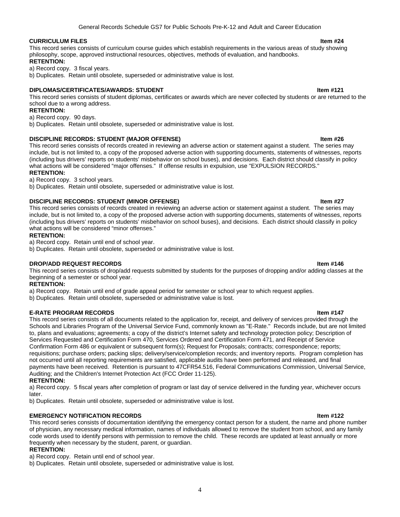#### **CURRICULUM FILES Item #24**

This record series consists of curriculum course guides which establish requirements in the various areas of study showing philosophy, scope, approved instructional resources, objectives, methods of evaluation, and handbooks.

**RETENTION:**

a) Record copy. 3 fiscal years.

b) Duplicates. Retain until obsolete, superseded or administrative value is lost.

#### **DIPLOMAS/CERTIFICATES/AWARDS: STUDENT IN A STATE OF A STATE OF A STATE OF A STATE OF A STATE OF A STATE OF A ST**

This record series consists of student diplomas, certificates or awards which are never collected by students or are returned to the school due to a wrong address.

#### **RETENTION:**

a) Record copy. 90 days.

b) Duplicates. Retain until obsolete, superseded or administrative value is lost.

#### **DISCIPLINE RECORDS: STUDENT (MAJOR OFFENSE) Item #26**

This record series consists of records created in reviewing an adverse action or statement against a student. The series may include, but is not limited to, a copy of the proposed adverse action with supporting documents, statements of witnesses, reports (including bus drivers' reports on students' misbehavior on school buses), and decisions. Each district should classify in policy what actions will be considered "major offenses." If offense results in expulsion, use "EXPULSION RECORDS." **RETENTION:**

a) Record copy. 3 school years.

b) Duplicates. Retain until obsolete, superseded or administrative value is lost.

#### **DISCIPLINE RECORDS: STUDENT (MINOR OFFENSE) Item #27**

This record series consists of records created in reviewing an adverse action or statement against a student. The series may include, but is not limited to, a copy of the proposed adverse action with supporting documents, statements of witnesses, reports (including bus drivers' reports on students' misbehavior on school buses), and decisions. Each district should classify in policy what actions will be considered "minor offenses."

#### **RETENTION:**

a) Record copy. Retain until end of school year.

b) Duplicates. Retain until obsolete, superseded or administrative value is lost.

#### **DROP/ADD REQUEST RECORDS Item #146**

This record series consists of drop/add requests submitted by students for the purposes of dropping and/or adding classes at the beginning of a semester or school year.

#### **RETENTION:**

a) Record copy. Retain until end of grade appeal period for semester or school year to which request applies.

b) Duplicates. Retain until obsolete, superseded or administrative value is lost.

#### **E-RATE PROGRAM RECORDS Internal and All and All and All and All and All and All and All and All and All and All and All and All and All and All and All and All and All and All and All and All and All and All and All and**

This record series consists of all documents related to the application for, receipt, and delivery of services provided through the Schools and Libraries Program of the Universal Service Fund, commonly known as "E-Rate." Records include, but are not limited to, plans and evaluations; agreements; a copy of the district's Internet safety and technology protection policy; Description of Services Requested and Certification Form 470, Services Ordered and Certification Form 471, and Receipt of Service Confirmation Form 486 or equivalent or subsequent form(s); Request for Proposals; contracts; correspondence; reports; requisitions; purchase orders; packing slips; delivery/service/completion records; and inventory reports. Program completion has not occurred until all reporting requirements are satisfied, applicable audits have been performed and released, and final payments have been received. Retention is pursuant to 47CFR54.516, Federal Communications Commission, Universal Service, Auditing; and the Children's Internet Protection Act (FCC Order 11-125).

#### **RETENTION:**

a) Record copy. 5 fiscal years after completion of program or last day of service delivered in the funding year, whichever occurs later.

b) Duplicates. Retain until obsolete, superseded or administrative value is lost.

#### **EMERGENCY NOTIFICATION RECORDS Item #122**

This record series consists of documentation identifying the emergency contact person for a student, the name and phone number of physician, any necessary medical information, names of individuals allowed to remove the student from school, and any family code words used to identify persons with permission to remove the child. These records are updated at least annually or more frequently when necessary by the student, parent, or guardian.

#### **RETENTION:**

a) Record copy. Retain until end of school year.

b) Duplicates. Retain until obsolete, superseded or administrative value is lost.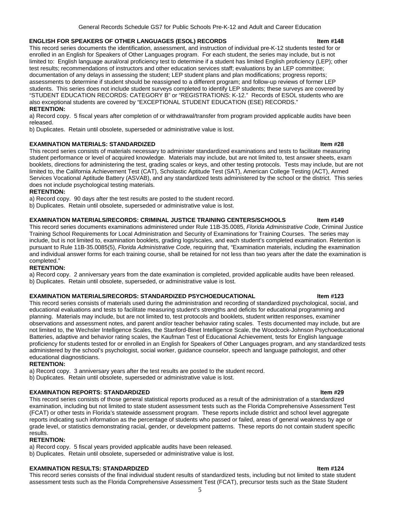#### **ENGLISH FOR SPEAKERS OF OTHER LANGUAGES (ESOL) RECORDS Item #148**

This record series documents the identification, assessment, and instruction of individual pre-K-12 students tested for or enrolled in an English for Speakers of Other Languages program. For each student, the series may include, but is not limited to: English language aural/oral proficiency test to determine if a student has limited English proficiency (LEP); other test results; recommendations of instructors and other education services staff; evaluations by an LEP committee; documentation of any delays in assessing the student; LEP student plans and plan modifications; progress reports; assessments to determine if student should be reassigned to a different program; and follow-up reviews of former LEP students. This series does not include student surveys completed to identify LEP students; these surveys are covered by "STUDENT EDUCATION RECORDS: CATEGORY B" or "REGISTRATIONS: K-12." Records of ESOL students who are also exceptional students are covered by "EXCEPTIONAL STUDENT EDUCATION (ESE) RECORDS." **RETENTION:** 

a) Record copy. 5 fiscal years after completion of or withdrawal/transfer from program provided applicable audits have been released.

b) Duplicates. Retain until obsolete, superseded or administrative value is lost.

#### **EXAMINATION MATERIALS: STANDARDIZED Item #28**

This record series consists of materials necessary to administer standardized examinations and tests to facilitate measuring student performance or level of acquired knowledge. Materials may include, but are not limited to, test answer sheets, exam booklets, directions for administering the test, grading scales or keys, and other testing protocols. Tests may include, but are not limited to, the California Achievement Test (CAT), Scholastic Aptitude Test (SAT), American College Testing (ACT), Armed Services Vocational Aptitude Battery (ASVAB), and any standardized tests administered by the school or the district. This series does not include psychological testing materials.

#### **RETENTION:**

a) Record copy. 90 days after the test results are posted to the student record.

b) Duplicates. Retain until obsolete, superseded or administrative value is lost.

#### **EXAMINATION MATERIALS/RECORDS: CRIMINAL JUSTICE TRAINING CENTERS/SCHOOLS ltem #149**

This record series documents examinations administered under Rule 11B-35.0085, *Florida Administrative Code*, Criminal Justice Training School Requirements for Local Administration and Security of Examinations for Training Courses. The series may include, but is not limited to, examination booklets, grading logs/scales, and each student's completed examination. Retention is pursuant to Rule 11B-35.0085(5), *Florida Administrative Code*, requiring that, "Examination materials, including the examination and individual answer forms for each training course, shall be retained for not less than two years after the date the examination is completed."

#### **RETENTION:**

a) Record copy. 2 anniversary years from the date examination is completed, provided applicable audits have been released. b) Duplicates. Retain until obsolete, superseded, or administrative value is lost.

#### **EXAMINATION MATERIALS/RECORDS: STANDARDIZED PSYCHOEDUCATIONAL INCOMEDUTE REFORM** them #123

This record series consists of materials used during the administration and recording of standardized psychological, social, and educational evaluations and tests to facilitate measuring student's strengths and deficits for educational programming and planning. Materials may include, but are not limited to, test protocols and booklets, student written responses, examiner observations and assessment notes, and parent and/or teacher behavior rating scales. Tests documented may include, but are not limited to, the Wechsler Intelligence Scales, the Stanford-Binet Intelligence Scale, the Woodcock-Johnson Psychoeducational Batteries, adaptive and behavior rating scales, the Kaufman Test of Educational Achievement, tests for English language proficiency for students tested for or enrolled in an English for Speakers of Other Languages program, and any standardized tests administered by the school's psychologist, social worker, guidance counselor, speech and language pathologist, and other educational diagnosticians.

#### **RETENTION:**

a) Record copy. 3 anniversary years after the test results are posted to the student record.

b) Duplicates. Retain until obsolete, superseded or administrative value is lost.

#### **EXAMINATION REPORTS: STANDARDIZED Item #29**

This record series consists of those general statistical reports produced as a result of the administration of a standardized examination, including but not limited to state student assessment tests such as the Florida Comprehensive Assessment Test (FCAT) or other tests in Florida's statewide assessment program. These reports include district and school level aggregate reports indicating such information as the percentage of students who passed or failed, areas of general weakness by age or grade level, or statistics demonstrating racial, gender, or development patterns. These reports do not contain student specific results.

#### **RETENTION:**

a) Record copy. 5 fiscal years provided applicable audits have been released.

b) Duplicates. Retain until obsolete, superseded or administrative value is lost.

#### **EXAMINATION RESULTS: STANDARDIZED International contract of the USA and ATT ITEM ATT ITEM #124**

This record series consists of the final individual student results of standardized tests, including but not limited to state student assessment tests such as the Florida Comprehensive Assessment Test (FCAT), precursor tests such as the State Student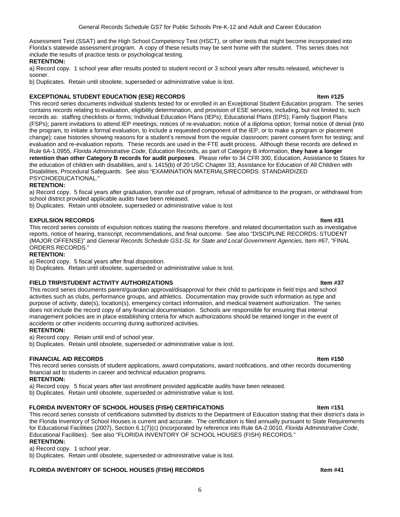Assessment Test (SSAT) and the High School Competency Test (HSCT), or other tests that might become incorporated into Florida's statewide assessment program. A copy of these results may be sent home with the student. This series does not include the results of practice tests or psychological testing.

### **RETENTION:**

a) Record copy. 1 school year after results posted to student record or 3 school years after results released, whichever is sooner.

b) Duplicates. Retain until obsolete, superseded or administrative value is lost.

#### **EXCEPTIONAL STUDENT EDUCATION (ESE) RECORDS International and the USA of the USA of the USA of the USA of the USA of the USA of the USA of the USA of the USA of the USA of the USA of the USA of the USA of the USA of the**

This record series documents individual students tested for or enrolled in an Exceptional Student Education program. The series contains records relating to evaluation, eligibility determination, and provision of ESE services, including, but not limited to, such records as: staffing checklists or forms; Individual Education Plans (IEPs); Educational Plans (EPS); Family Support Plans (FSPs); parent invitations to attend IEP meetings; notices of re-evaluation; notice of a diploma option; formal notice of denial (into the program, to initiate a formal evaluation, to include a requested component of the IEP, or to make a program or placement change); case histories showing reasons for a student's removal from the regular classroom; parent consent form for testing; and evaluation and re-evaluation reports. These records are used in the FTE audit process. Although these records are defined in Rule 6A-1.0955, *Florida Administrative Code*, Education Records, as part of Category B information, **they have a longer retention than other Category B records for audit purposes**. Please refer to 34 CFR 300, Education, [Assistance to States for](http://www.access.gpo.gov/nara/cfr/waisidx_10/34cfr300_10.html)  [the education of children with disabilities,](http://www.access.gpo.gov/nara/cfr/waisidx_10/34cfr300_10.html) and s. 1415(b) of 20 USC Chapter 33, Assistance for Education of All Children with Disabilities, Procedural Safeguards. See also "EXAMINATION MATERIALS/RECORDS: STANDARDIZED PSYCHOEDUCATIONAL."

### **RETENTION:**

a) Record copy. 5 fiscal years after graduation, transfer out of program, refusal of admittance to the program, or withdrawal from school district provided applicable audits have been released.

b) Duplicates. Retain until obsolete, superseded or administrative value is lost

### **EXPULSION RECORDS Item #31**

This record series consists of expulsion notices stating the reasons therefore, and related documentation such as investigative reports, notice of hearing, transcript, recommendations, and final outcome. See also "DISCIPLINE RECORDS: STUDENT (MAJOR OFFENSE)" and *General Records Schedule GS1-SL for State and Local Government Agencies*, Item #67, "FINAL ORDERS RECORDS."

#### **RETENTION:**

a) Record copy. 5 fiscal years after final disposition.

b) Duplicates. Retain until obsolete, superseded or administrative value is lost.

### **FIELD TRIP/STUDENT ACTIVITY AUTHORIZATIONS Item #37**

This record series documents parent/guardian approval/disapproval for their child to participate in field trips and school activities such as clubs, performance groups, and athletics. Documentation may provide such information as type and purpose of activity, date(s), location(s), emergency contact information, and medical treatment authorization. The series does not include the record copy of any financial documentation. Schools are responsible for ensuring that internal management policies are in place establishing criteria for which authorizations should be retained longer in the event of accidents or other incidents occurring during authorized activities.

#### **RETENTION:**

a) Record copy. Retain until end of school year.

b) Duplicates. Retain until obsolete, superseded or administrative value is lost.

### **FINANCIAL AID RECORDS Item #150**

This record series consists of student applications, award computations, award notifications, and other records documenting financial aid to students in career and technical education programs.

### **RETENTION:**

a) Record copy. 5 fiscal years after last enrollment provided applicable audits have been released.

b) Duplicates. Retain until obsolete, superseded or administrative value is lost.

#### **FLORIDA INVENTORY OF SCHOOL HOUSES (FISH) CERTIFICATIONS Item** #**151**

This record series consists of certifications submitted by districts to the Department of Education stating that their district's data in the Florida Inventory of School Houses is current and accurate. The certification is filed annually pursuant to State Requirements for Educational Facilities (2007), Section 6.1(7)(c) (incorporated by reference into Rule 6A-2.0010, *Florida Administrative Code*, Educational Facilities). See also "FLORIDA INVENTORY OF SCHOOL HOUSES (FISH) RECORDS." **RETENTION:**

a) Record copy. 1 school year.

b) Duplicates. Retain until obsolete, superseded or administrative value is lost.

### **FLORIDA INVENTORY OF SCHOOL HOUSES (FISH) RECORDS Item #41**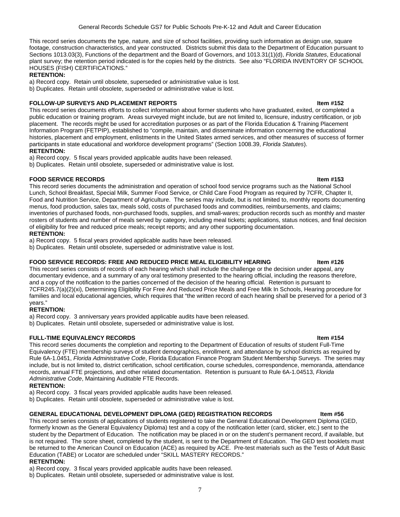This record series documents the type, nature, and size of school facilities, providing such information as design use, square footage, construction characteristics, and year constructed. Districts submit this data to the Department of Education pursuant to Sections 1013.03(3), Functions of the department and the Board of Governors, and 1013.31(1)(d), *Florida Statutes*, Educational plant survey; the retention period indicated is for the copies held by the districts. See also "FLORIDA INVENTORY OF SCHOOL HOUSES (FISH) CERTIFICATIONS."

### **RETENTION:**

a) Record copy. Retain until obsolete, superseded or administrative value is lost.

b) Duplicates. Retain until obsolete, superseded or administrative value is lost.

#### **FOLLOW-UP SURVEYS AND PLACEMENT REPORTS IN A SEXUAL SEXUAL SEXUAL EXAMPLE 2018 11:00 ITEM #152**

This record series documents efforts to collect information about former students who have graduated, exited, or completed a public education or training program. Areas surveyed might include, but are not limited to, licensure, industry certification, or job placement. The records might be used for accreditation purposes or as part of the Florida Education & Training Placement Information Program (FETPIP), established to "compile, maintain, and disseminate information concerning the educational histories, placement and employment, enlistments in the United States armed services, and other measures of success of former participants in state educational and workforce development programs" (Section 1008.39, *Florida Statutes*).

### **RETENTION:**

a) Record copy. 5 fiscal years provided applicable audits have been released.

b) Duplicates. Retain until obsolete, superseded or administrative value is lost.

### **FOOD SERVICE RECORDS Item #153**

This record series documents the administration and operation of school food service programs such as the National School Lunch, School Breakfast, Special Milk, Summer Food Service, or Child Care Food Program as required by 7CFR, Chapter II, Food and Nutrition Service, Department of Agriculture. The series may include, but is not limited to, monthly reports documenting menus, food production, sales tax, meals sold, costs of purchased foods and commodities, reimbursements, and claims; inventories of purchased foods, non-purchased foods, supplies, and small-wares; production records such as monthly and master rosters of students and number of meals served by category, including meal tickets; applications, status notices, and final decision of eligibility for free and reduced price meals; receipt reports; and any other supporting documentation.

### **RETENTION:**

a) Record copy. 5 fiscal years provided applicable audits have been released.

b) Duplicates. Retain until obsolete, superseded or administrative value is lost.

#### FOOD SERVICE RECORDS: FREE AND REDUCED PRICE MEAL ELIGIBILITY HEARING **INCOLOGY 18** Item #126

This record series consists of records of each hearing which shall include the challenge or the decision under appeal, any documentary evidence, and a summary of any oral testimony presented to the hearing official, including the reasons therefore, and a copy of the notification to the parties concerned of the decision of the hearing official. Retention is pursuant to 7CFR245.7(a)(2)(xi), Determining Eligibility For Free And Reduced Price Meals and Free Milk In Schools, Hearing procedure for families and local educational agencies, which requires that "the written record of each hearing shall be preserved for a period of 3 years."

#### **RETENTION:**

a) Record copy. 3 anniversary years provided applicable audits have been released.

b) Duplicates. Retain until obsolete, superseded or administrative value is lost.

#### **FULL-TIME EQUIVALENCY RECORDS Item #154**

This record series documents the completion and reporting to the Department of Education of results of student Full-Time Equivalency (FTE) membership surveys of student demographics, enrollment, and attendance by school districts as required by Rule [6A-1.0451](https://www.flrules.org/gateway/ruleNo.asp?id=6A-1.0451), *Florida Administrative Code*, Florida Education Finance Program Student Membership Surveys. The series may include, but is not limited to, district certification, school certification, course schedules, correspondence, memoranda, attendance records, annual FTE projections, and other related documentation. Retention is pursuant to Rule 6A-1.04513, *Florida Administrative Code*, Maintaining Auditable FTE Records.

#### **RETENTION:**

a) Record copy. 3 fiscal years provided applicable audits have been released.

b) Duplicates. Retain until obsolete, superseded or administrative value is lost.

#### **GENERAL EDUCATIONAL DEVELOPMENT DIPLOMA (GED) REGISTRATION RECORDS Item #56**

This record series consists of applications of students registered to take the General Educational Development Diploma (GED, formerly known as the General Equivalency Diploma) test and a copy of the notification letter (card, sticker, etc.) sent to the student by the Department of Education. The notification may be placed in or on the student's permanent record, if available, but is not required. The score sheet, completed by the student, is sent to the Department of Education. The GED test booklets must be returned to the American Council on Education (ACE) as required by ACE. Pre-test materials such as the Tests of Adult Basic Education (TABE) or Locator are scheduled under "SKILL MASTERY RECORDS."

#### **RETENTION:**

a) Record copy. 3 fiscal years provided applicable audits have been released.

b) Duplicates. Retain until obsolete, superseded or administrative value is lost.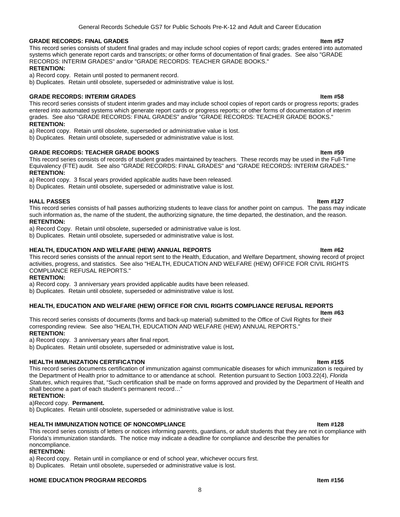#### **GRADE RECORDS: FINAL GRADES Item #57**

This record series consists of student final grades and may include school copies of report cards; grades entered into automated systems which generate report cards and transcripts; or other forms of documentation of final grades. See also "GRADE RECORDS: INTERIM GRADES" and/or "GRADE RECORDS: TEACHER GRADE BOOKS."

#### **RETENTION:**

a) Record copy. Retain until posted to permanent record.

b) Duplicates. Retain until obsolete, superseded or administrative value is lost.

#### **GRADE RECORDS: INTERIM GRADES Item #58**

This record series consists of student interim grades and may include school copies of report cards or progress reports; grades entered into automated systems which generate report cards or progress reports; or other forms of documentation of interim grades. See also "GRADE RECORDS: FINAL GRADES" and/or "GRADE RECORDS: TEACHER GRADE BOOKS." **RETENTION:**

a) Record copy. Retain until obsolete, superseded or administrative value is lost.

b) Duplicates. Retain until obsolete, superseded or administrative value is lost.

#### **GRADE RECORDS: TEACHER GRADE BOOKS Item #59**

This record series consists of records of student grades maintained by teachers. These records may be used in the Full-Time Equivalency (FTE) audit. See also "GRADE RECORDS: FINAL GRADES" and "GRADE RECORDS: INTERIM GRADES." **RETENTION:**

a) Record copy. 3 fiscal years provided applicable audits have been released.

b) Duplicates. Retain until obsolete, superseded or administrative value is lost.

#### **HALL PASSES Item #127**

This record series consists of hall passes authorizing students to leave class for another point on campus. The pass may indicate such information as, the name of the student, the authorizing signature, the time departed, the destination, and the reason. **RETENTION:**

a) Record Copy. Retain until obsolete, superseded or administrative value is lost.

b) Duplicates. Retain until obsolete, superseded or administrative value is lost.

#### **HEALTH, EDUCATION AND WELFARE (HEW) ANNUAL REPORTS THE RESIDENT RESIDENT ASSAULT ASSAULT FOR A HER FOR A HER FOR**

This record series consists of the annual report sent to the Health, Education, and Welfare Department, showing record of project activities, progress, and statistics. See also "HEALTH, EDUCATION AND WELFARE (HEW) OFFICE FOR CIVIL RIGHTS COMPLIANCE REFUSAL REPORTS."

#### **RETENTION:**

a) Record copy. 3 anniversary years provided applicable audits have been released.

b) Duplicates. Retain until obsolete, superseded or administrative value is lost.

#### **HEALTH, EDUCATION AND WELFARE (HEW) OFFICE FOR CIVIL RIGHTS COMPLIANCE REFUSAL REPORTS**

**Item #63** 

This record series consists of documents (forms and back-up material) submitted to the Office of Civil Rights for their corresponding review. See also "HEALTH, EDUCATION AND WELFARE (HEW) ANNUAL REPORTS." **RETENTION:**

a) Record copy. 3 anniversary years after final report.

b) Duplicates. Retain until obsolete, superseded or administrative value is lost**.** 

#### **HEALTH IMMUNIZATION CERTIFICATION IN** THE SECOND **INTERFERIENCE IN THE SECOND ITEM ISS**

This record series documents certification of immunization against communicable diseases for which immunization is required by the Department of Health prior to admittance to or attendance at school. Retention pursuant to Section 1003.22(4), *Florida Statutes*, which requires that, "Such certification shall be made on forms approved and provided by the Department of Health and shall become a part of each student's permanent record…"

#### **RETENTION:**

### a)Record copy. **Permanent.**

b) Duplicates. Retain until obsolete, superseded or administrative value is lost.

### **HEALTH IMMUNIZATION NOTICE OF NONCOMPLIANCE Internal and the set of the set of the set of the set of the set of the set of the set of the set of the set of the set of the set of the set of the set of the set of the set**

This record series consists of letters or notices informing parents, guardians, or adult students that they are not in compliance with Florida's immunization standards. The notice may indicate a deadline for compliance and describe the penalties for noncompliance.

#### **RETENTION:**

a) Record copy. Retain until in compliance or end of school year, whichever occurs first.

b) Duplicates. Retain until obsolete, superseded or administrative value is lost.

#### **HOME EDUCATION PROGRAM RECORDS Internal and the set of the set of the set of the set of the set of the set of the set of the set of the set of the set of the set of the set of the set of the set of the set of the set of**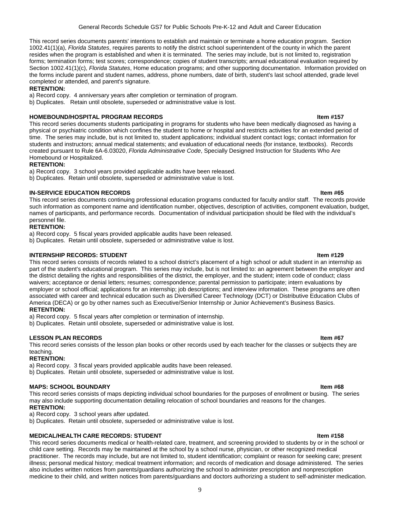This record series documents parents' intentions to establish and maintain or terminate a home education program. Section 1002.41(1)(a), *Florida Statutes*, requires parents to notify the district school superintendent of the county in which the parent resides when the program is established and when it is terminated. The series may include, but is not limited to, registration forms; termination forms; test scores; correspondence; copies of student transcripts; annual educational evaluation required by Section 1002.41(1)(c), *Florida Statutes*, Home education programs; and other supporting documentation. Information provided on the forms include parent and student names, address, phone numbers, date of birth, student's last school attended, grade level completed or attended, and parent's signature.

#### **RETENTION:**

a) Record copy. 4 anniversary years after completion or termination of program.

b) Duplicates. Retain until obsolete, superseded or administrative value is lost.

#### **HOMEBOUND/HOSPITAL PROGRAM RECORDS Item #157**

This record series documents students participating in programs for students who have been medically diagnosed as having a physical or psychiatric condition which confines the student to home or hospital and restricts activities for an extended period of time. The series may include, but is not limited to, student applications; individual student contact logs; contact information for students and instructors; annual medical statements; and evaluation of educational needs (for instance, textbooks). Records created pursuant to Rule [6A-6.03020](https://www.flrules.org/gateway/ruleNo.asp?id=6A-6.03020), *Florida Administrative Code*, Specially Designed Instruction for Students Who Are Homebound or Hospitalized.

#### **RETENTION:**

a) Record copy. 3 school years provided applicable audits have been released.

b) Duplicates. Retain until obsolete, superseded or administrative value is lost.

#### **IN-SERVICE EDUCATION RECORDS Item #65**

This record series documents continuing professional education programs conducted for faculty and/or staff. The records provide such information as component name and identification number, objectives, description of activities, component evaluation, budget, names of participants, and performance records. Documentation of individual participation should be filed with the individual's personnel file.

### **RETENTION:**

a) Record copy. 5 fiscal years provided applicable audits have been released.

b) Duplicates. Retain until obsolete, superseded or administrative value is lost.

### **INTERNSHIP RECORDS: STUDENT IN A SEXUAL SEXUAL SEXUAL SEXUAL SEXUAL SEXUAL SEXUAL SEXUAL SEXUAL SEXUAL SEXUAL**

This record series consists of records related to a school district's placement of a high school or adult student in an internship as part of the student's educational program. This series may include, but is not limited to: an agreement between the employer and the district detailing the rights and responsibilities of the district, the employer, and the student; intern code of conduct; class waivers; acceptance or denial letters; resumes; correspondence; parental permission to participate; intern evaluations by employer or school official; applications for an internship; job descriptions; and interview information. These programs are often associated with career and technical education such as Diversified Career Technology (DCT) or Distributive Education Clubs of America (DECA) or go by other names such as Executive/Senior Internship or Junior Achievement's Business Basics. **RETENTION:**

a) Record copy. 5 fiscal years after completion or termination of internship.

b) Duplicates. Retain until obsolete, superseded or administrative value is lost.

#### **LESSON PLAN RECORDS Item #67**

This record series consists of the lesson plan books or other records used by each teacher for the classes or subjects they are teaching.

#### **RETENTION:**

a) Record copy. 3 fiscal years provided applicable audits have been released.

b) Duplicates. Retain until obsolete, superseded or administrative value is lost.

#### **MAPS: SCHOOL BOUNDARY Item #68**

This record series consists of maps depicting individual school boundaries for the purposes of enrollment or busing. The series may also include supporting documentation detailing relocation of school boundaries and reasons for the changes.

### **RETENTION:**

a) Record copy. 3 school years after updated.

b) Duplicates. Retain until obsolete, superseded or administrative value is lost.

#### **MEDICAL/HEALTH CARE RECORDS: STUDENT IN A SEXUAL SEXUAL SEXUAL SEXUAL SEXUAL SEXUAL SEXUAL SEXUAL SEXUAL SEXUAL**

This record series documents medical or health-related care, treatment, and screening provided to students by or in the school or child care setting. Records may be maintained at the school by a school nurse, physician, or other recognized medical practitioner. The records may include, but are not limited to, student identification; complaint or reason for seeking care; present illness; personal medical history; medical treatment information; and records of medication and dosage administered. The series also includes written notices from parents/guardians authorizing the school to administer prescription and nonprescription medicine to their child, and written notices from parents/guardians and doctors authorizing a student to self-administer medication.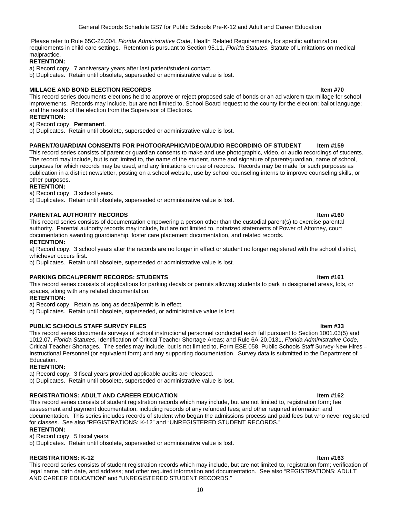Please refer to Rule 65C-22.004, *Florida Administrative Code*, Health Related Requirements, for specific authorization requirements in child care settings. Retention is pursuant to Section 95.11, *Florida Statutes*, Statute of Limitations on medical malpractice.

### **RETENTION:**

- a) Record copy. 7 anniversary years after last patient/student contact.
- b) Duplicates. Retain until obsolete, superseded or administrative value is lost.

### **MILLAGE AND BOND ELECTION RECORDS Item #70**

This record series documents elections held to approve or reject proposed sale of bonds or an ad valorem tax millage for school improvements. Records may include, but are not limited to, School Board request to the county for the election; ballot language; and the results of the election from the Supervisor of Elections.

#### **RETENTION:**

#### a) Record copy. **Permanent**.

b) Duplicates. Retain until obsolete, superseded or administrative value is lost.

### PARENT/GUARDIAN CONSENTS FOR PHOTOGRAPHIC/VIDEO/AUDIO RECORDING OF STUDENT ltem #159

This record series consists of parent or guardian consents to make and use photographic, video, or audio recordings of students. The record may include, but is not limited to, the name of the student, name and signature of parent/guardian, name of school, purposes for which records may be used, and any limitations on use of records. Records may be made for such purposes as publication in a district newsletter, posting on a school website, use by school counseling interns to improve counseling skills, or other purposes.

### **RETENTION:**

a) Record copy. 3 school years.

b) Duplicates. Retain until obsolete, superseded or administrative value is lost.

### **PARENTAL AUTHORITY RECORDS Item #160**

This record series consists of documentation empowering a person other than the custodial parent(s) to exercise parental authority. Parental authority records may include, but are not limited to, notarized statements of Power of Attorney, court documentation awarding guardianship, foster care placement documentation, and related records.

#### **RETENTION:**

a) Record copy. 3 school years after the records are no longer in effect or student no longer registered with the school district, whichever occurs first.

b) Duplicates. Retain until obsolete, superseded or administrative value is lost.

#### **PARKING DECAL/PERMIT RECORDS: STUDENTS Internal and the students of the students of the students of the students**

This record series consists of applications for parking decals or permits allowing students to park in designated areas, lots, or spaces, along with any related documentation.

#### **RETENTION:**

a) Record copy. Retain as long as decal/permit is in effect.

b) Duplicates. Retain until obsolete, superseded, or administrative value is lost.

#### **PUBLIC SCHOOLS STAFF SURVEY FILES Internal and the state of the state of the state of the state of the state of the state of the state of the state of the state of the state of the state of the state of the state of the**

This record series documents surveys of school instructional personnel conducted each fall pursuant to Section 1001.03(5) and 1012.07, *Florida Statutes*, Identification of Critical Teacher Shortage Areas; and Rule 6A-20.0131, *Florida Administrative Code*, Critical Teacher Shortages. The series may include, but is not limited to, Form ESE 058, Public Schools Staff Survey-New Hires – Instructional Personnel (or equivalent form) and any supporting documentation. Survey data is submitted to the Department of Education.

#### **RETENTION:**

a) Record copy. 3 fiscal years provided applicable audits are released.

b) Duplicates. Retain until obsolete, superseded or administrative value is lost.

#### **REGISTRATIONS: ADULT AND CAREER EDUCATION Item #162**

This record series consists of student registration records which may include, but are not limited to, registration form; fee assessment and payment documentation, including records of any refunded fees; and other required information and documentation. This series includes records of student who began the admissions process and paid fees but who never registered for classes. See also "REGISTRATIONS: K-12" and "UNREGISTERED STUDENT RECORDS."

#### **RETENTION:**

a) Record copy. 5 fiscal years.

b) Duplicates. Retain until obsolete, superseded or administrative value is lost.

### **REGISTRATIONS: K-12 Item #163**

This record series consists of student registration records which may include, but are not limited to, registration form; verification of legal name, birth date, and address; and other required information and documentation. See also "REGISTRATIONS: ADULT AND CAREER EDUCATION" and "UNREGISTERED STUDENT RECORDS."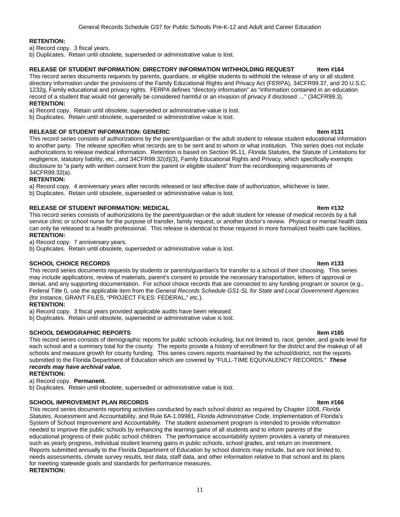### **RETENTION:**

a) Record copy. 3 fiscal years.

b) Duplicates. Retain until obsolete, superseded or administrative value is lost.

### **RELEASE OF STUDENT INFORMATION: DIRECTORY INFORMATION WITHHOLDING REQUEST litem #164**

This record series documents requests by parents, guardians, or eligible students to withhold the release of any or all student directory information under the provisions of the Family Educational Rights and Privacy Act (FERPA), 34CFR99.37, and 20 U.S.C. 1232g, Family educational and privacy rights. FERPA defines "directory information" as "information contained in an education record of a student that would not generally be considered harmful or an invasion of privacy if disclosed …" (34CFR99.3). **RETENTION:** 

a) Record copy. Retain until obsolete, superseded or administrative value is lost.

b) Duplicates. Retain until obsolete, superseded or administrative value is lost.

### **RELEASE OF STUDENT INFORMATION: GENERIC INTERNATION ASSESSED AT A LIGA ASSESSED FOR A LIGA ASSESSED ASSESSED FOR A LIGA ASSESSED FOR A LIGA ASSESSED FOR A LIGA ASSESSED FOR A LIGA ASSESSED FOR A LIGA ASSESSED FOR A LIGA A**

This record series consists of authorizations by the parent/guardian or the adult student to release student educational information to another party. The release specifies what records are to be sent and to whom or what institution. This series does not include authorizations to release medical information. Retention is based on Section 95.11, *Florida Statutes*, the Statute of Limitations for negligence, statutory liability, etc., and 34CFR99.32(d)(3), Family Educational Rights and Privacy, which specifically exempts disclosure to "a party with written consent from the parent or eligible student" from the recordkeeping requirements of 34CFR99.32(a).

### **RETENTION:**

a) Record copy. 4 anniversary years after records released or last effective date of authorization, whichever is later. b) Duplicates. Retain until obsolete, superseded or administrative value is lost.

### **RELEASE OF STUDENT INFORMATION: MEDICAL INC. And Item #132 Item #132**

This record series consists of authorizations by the parent/guardian or the adult student for release of medical records by a full service clinic or school nurse for the purpose of transfer, family request, or another doctor's review. Physical or mental health data can only be released to a health professional. This release is identical to those required in more formalized health care facilities. **RETENTION:**

a) Record copy. 7 anniversary years.

b) Duplicates. Retain until obsolete, superseded or administrative value is lost.

### **SCHOOL CHOICE RECORDS Item #133**

This record series documents requests by students or parents/guardian's for transfer to a school of their choosing. This series may include applications, review of materials, parent's consent to provide the necessary transportation, letters of approval or denial, and any supporting documentation. For school choice records that are connected to any funding program or source (e.g., Federal Title I), use the applicable item from the *General Records Schedule GS1-SL for State and Local Government Agencies* (for instance, GRANT FILES, "PROJECT FILES: FEDERAL," etc.).

### **RETENTION:**

a) Record copy. 3 fiscal years provided applicable audits have been released.

b) Duplicates. Retain until obsolete, superseded or administrative value is lost.

### **SCHOOL DEMOGRAPHIC REPORTS Item #165**

This record series consists of demographic reports for public schools including, but not limited to, race, gender, and grade level for each school and a summary total for the county. The reports provide a history of enrollment for the district and the makeup of all schools and measure growth for county funding. This series covers reports maintained by the school/district, not the reports submitted to the Florida Department of Education which are covered by "FULL-TIME EQUIVALENCY RECORDS." *These records may have archival value.*

#### **RETENTION:**

a) Record copy. **Permanent.**

b) Duplicates. Retain until obsolete, superseded or administrative value is lost.

### **SCHOOL IMPROVEMENT PLAN RECORDS Internal and the set of the set of the set of the set of the set of the set of the set of the set of the set of the set of the set of the set of the set of the set of the set of the set o**

This record series documents reporting activities conducted by each school district as required by Chapter 1008, *Florida Statutes*, Assessment and Accountability, and Rule 6A-1.09981, *Florida Administrative Code*, Implementation of Florida's System of School Improvement and Accountability. The student assessment program is intended to provide information needed to improve the public schools by enhancing the learning gains of all students and to inform parents of the educational progress of their public school children. The performance accountability system provides a variety of measures such as yearly progress, individual student learning gains in public schools, school grades, and return on investment. Reports submitted annually to the Florida Department of Education by school districts may include, but are not limited to, needs assessments, climate survey results, test data, staff data, and other information relative to that school and its plans for meeting statewide goals and standards for performance measures. **RETENTION:**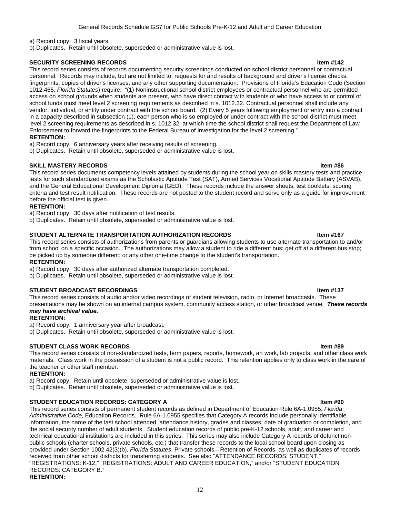a) Record copy. 3 fiscal years.

b) Duplicates. Retain until obsolete, superseded or administrative value is lost.

### **SECURITY SCREENING RECORDS Item #142**

This record series consists of records documenting security screenings conducted on school district personnel or contractual personnel. Records may include, but are not limited to, requests for and results of background and driver's license checks, fingerprints, copies of driver's licenses, and any other supporting documentation. Provisions of Florida's Education Code (Section 1012.465, *Florida Statutes*) require: "(1) Noninstructional school district employees or contractual personnel who are permitted access on school grounds when students are present, who have direct contact with students or who have access to or control of school funds must meet level 2 screening requirements as described in s. [1012.32.](http://www.flsenate.gov/Statutes/index.cfm?App_mode=Display_Statute&Search_String=&URL=Ch1012/Sec32.HTM) Contractual personnel shall include any vendor, individual, or entity under contract with the school board. (2) Every 5 years following employment or entry into a contract in a capacity described in subsection (1), each person who is so employed or under contract with the school district must meet level 2 screening requirements as described in s. [1012.32,](http://www.flsenate.gov/Statutes/index.cfm?App_mode=Display_Statute&Search_String=&URL=Ch1012/Sec32.HTM) at which time the school district shall request the Department of Law Enforcement to forward the fingerprints to the Federal Bureau of Investigation for the level 2 screening."

### **RETENTION:**

a) Record copy. 6 anniversary years after receiving results of screening.

b) Duplicates. Retain until obsolete, superseded or administrative value is lost.

### **SKILL MASTERY RECORDS Item #86**

This record series documents competency levels attained by students during the school year on skills mastery tests and practice tests for such standardized exams as the Scholastic Aptitude Test (SAT), Armed Services Vocational Aptitude Battery (ASVAB), and the General Educational Development Diploma (GED). These records include the answer sheets, test booklets, scoring criteria and test result notification. These records are not posted to the student record and serve only as a guide for improvement before the official test is given.

### **RETENTION:**

a) Record copy. 30 days after notification of test results.

b) Duplicates. Retain until obsolete, superseded or administrative value is lost.

### STUDENT ALTERNATE TRANSPORTATION AUTHORIZATION RECORDS **INCOLL 2018 18 ITEM #167**

This record series consists of authorizations from parents or guardians allowing students to use alternate transportation to and/or from school on a specific occasion. The authorizations may allow a student to ride a different bus; get off at a different bus stop; be picked up by someone different; or any other one-time change to the student's transportation.

#### **RETENTION:**

a) Record copy. 30 days after authorized alternate transportation completed.

b) Duplicates. Retain until obsolete, superseded or administrative value is lost.

#### **STUDENT BROADCAST RECORDINGS Internal and CONDITIONS Internal and CONDITIONS Item #137**

This record series consists of audio and/or video recordings of student television, radio, or Internet broadcasts. These presentations may be shown on an internal campus system, community access station, or other broadcast venue*. These records may have archival value.*

#### **RETENTION:**

a) Record copy. 1 anniversary year after broadcast.

b) Duplicates. Retain until obsolete, superseded or administrative value is lost.

### **STUDENT CLASS WORK RECORDS Item #89**

This record series consists of non-standardized tests, term papers, reports, homework, art work, lab projects, and other class work materials. Class work in the possession of a student is not a public record. This retention applies only to class work in the care of the teacher or other staff member.

#### **RETENTION:**

a) Record copy. Retain until obsolete, superseded or administrative value is lost.

b) Duplicates. Retain until obsolete, superseded or administrative value is lost.

### **STUDENT EDUCATION RECORDS: CATEGORY A Item #90**

This record series consists of permanent student records as defined in Department of Education Rule 6A-1.0955, *Florida Administrative Code*, Education Records. Rule 6A-1.0955 specifies that Category A records include personally identifiable information, the name of the last school attended, attendance history, grades and classes, date of graduation or completion, and the social security number of adult students. Student education records of public pre-K-12 schools, adult, and career and technical educational institutions are included in this series. This series may also include Category A records of defunct nonpublic schools (charter schools, private schools, etc.) that transfer these records to the local school board upon closing as provided under Section 1002.42(3)(b), *Florida Statutes*, Private schools—Retention of Records, as well as duplicates of records received from other school districts for transferring students. See also "ATTENDANCE RECORDS: STUDENT," "REGISTRATIONS: K-12," "REGISTRATIONS: ADULT AND CAREER EDUCATION," and/or "STUDENT EDUCATION RECORDS: CATEGORY B." **RETENTION:**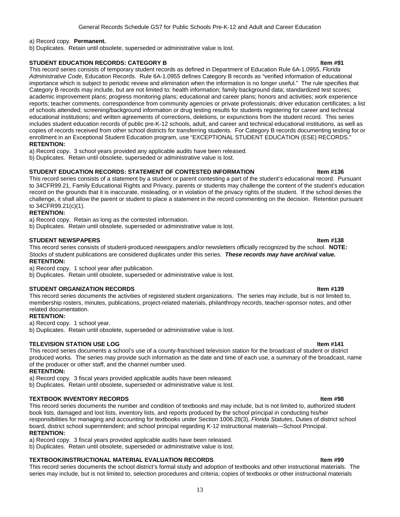#### a) Record copy. **Permanent.**

b) Duplicates. Retain until obsolete, superseded or administrative value is lost.

#### **STUDENT EDUCATION RECORDS: CATEGORY B Item #91**

This record series consists of temporary student records as defined in Department of Education Rule 6A-1.0955, *Florida Administrative Code*, Education Records. Rule 6A-1.0955 defines Category B records as "verified information of educational importance which is subject to periodic review and elimination when the information is no longer useful." The rule specifies that Category B records may include, but are not limited to: health information; family background data; standardized test scores; academic improvement plans; progress monitoring plans; educational and career plans; honors and activities; work experience reports; teacher comments; correspondence from community agencies or private professionals; driver education certificates; a list of schools attended; screening/background information or drug testing results for students registering for career and technical educational institutions; and written agreements of corrections, deletions, or expunctions from the student record. This series includes student education records of public pre-K-12 schools, adult, and career and technical educational institutions, as well as copies of records received from other school districts for transferring students. For Category B records documenting testing for or enrollment in an Exceptional Student Education program, use "EXCEPTIONAL STUDENT EDUCATION (ESE) RECORDS." **RETENTION:**

a) Record copy. 3 school years provided any applicable audits have been released.

b) Duplicates. Retain until obsolete, superseded or administrative value is lost.

#### **STUDENT EDUCATION RECORDS: STATEMENT OF CONTESTED INFORMATION 6 8 1999 11:436 1899 11:436**

This record series consists of a statement by a student or parent contesting a part of the student's educational record. Pursuant to 34CFR99.21, Family Educational Rights and Privacy, parents or students may challenge the content of the student's education record on the grounds that it is inaccurate, misleading, or in violation of the privacy rights of the student. If the school denies the challenge, it shall allow the parent or student to place a statement in the record commenting on the decision. Retention pursuant to 34CFR99.21(c)(1).

### **RETENTION:**

a) Record copy. Retain as long as the contested information.

b) Duplicates. Retain until obsolete, superseded or administrative value is lost.

#### **STUDENT NEWSPAPERS Internal of the students of the students of the students of the students of the students of the students of the students of the students of the students of the students of the students of the students**

This record series consists of student-produced newspapers and/or newsletters officially recognized by the school. **NOTE:** Stocks of student publications are considered duplicates under this series. *These records may have archival value.* **RETENTION:**

a) Record copy. 1 school year after publication.

b) Duplicates. Retain until obsolete, superseded or administrative value is lost.

#### **STUDENT ORGANIZATION RECORDS Item #139**

This record series documents the activities of registered student organizations. The series may include, but is not limited to, membership rosters, minutes, publications, project-related materials, philanthropy records, teacher-sponsor notes, and other related documentation.

### **RETENTION:**

a) Record copy. 1 school year.

b) Duplicates. Retain until obsolete, superseded or administrative value is lost.

### **TELEVISION STATION USE LOG Internal and the set of the set of the set of the set of the set of the set of the set of the set of the set of the set of the set of the set of the set of the set of the set of the set of the**

This record series documents a school's use of a county-franchised television station for the broadcast of student or district produced works. The series may provide such information as the date and time of each use, a summary of the broadcast, name of the producer or other staff, and the channel number used.

#### **RETENTION:**

a) Record copy. 3 fiscal years provided applicable audits have been released.

b) Duplicates. Retain until obsolete, superseded or administrative value is lost.

#### **TEXTBOOK INVENTORY RECORDS Item #98**

This record series documents the number and condition of textbooks and may include, but is not limited to, authorized student book lists, damaged and lost lists, inventory lists, and reports produced by the school principal in conducting his/her responsibilities for managing and accounting for textbooks under Section 1006.28(3), *Florida Statutes*, Duties of district school board, district school superintendent; and school principal regarding K-12 instructional materials—School Principal. **RETENTION:**

a) Record copy. 3 fiscal years provided applicable audits have been released.

b) Duplicates. Retain until obsolete, superseded or administrative value is lost.

#### **TEXTBOOK/INSTRUCTIONAL MATERIAL EVALUATION RECORDS Item #99**

This record series documents the school district's formal study and adoption of textbooks and other instructional materials. The series may include, but is not limited to, selection procedures and criteria; copies of textbooks or other instructional materials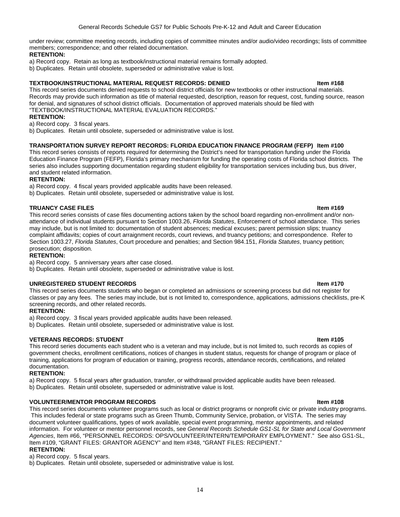under review; committee meeting records, including copies of committee minutes and/or audio/video recordings; lists of committee members; correspondence; and other related documentation.

### **RETENTION:**

a) Record copy. Retain as long as textbook/instructional material remains formally adopted.

b) Duplicates. Retain until obsolete, superseded or administrative value is lost.

#### **TEXTBOOK/INSTRUCTIONAL MATERIAL REQUEST RECORDS: DENIED Item #168**

This record series documents denied requests to school district officials for new textbooks or other instructional materials. Records may provide such information as title of material requested, description, reason for request, cost, funding source, reason for denial, and signatures of school district officials. Documentation of approved materials should be filed with "TEXTBOOK/INSTRUCTIONAL MATERIAL EVALUATION RECORDS."

#### **RETENTION:**

a) Record copy. 3 fiscal years.

b) Duplicates. Retain until obsolete, superseded or administrative value is lost.

### **TRANSPORTATION SURVEY REPORT RECORDS: FLORIDA EDUCATION FINANCE PROGRAM (FEFP) Item #100**

This record series consists of reports required for determining the District's need for transportation funding under the Florida Education Finance Program (FEFP), Florida's primary mechanism for funding the operating costs of Florida school districts. The series also includes supporting documentation regarding student eligibility for transportation services including bus, bus driver, and student related information.

### **RETENTION:**

a) Record copy. 4 fiscal years provided applicable audits have been released.

b) Duplicates. Retain until obsolete, superseded or administrative value is lost.

### **TRUANCY CASE FILES Internal of the USA CONSTRUCTION CONSTRUCTION CONSTRUCTS Item #169**

This record series consists of case files documenting actions taken by the school board regarding non-enrollment and/or nonattendance of individual students pursuant to Section 1003.26, *Florida Statutes*, Enforcement of school attendance. This series may include, but is not limited to: documentation of student absences; medical excuses; parent permission slips; truancy complaint affidavits; copies of court arraignment records, court reviews, and truancy petitions; and correspondence. Refer to Section 1003.27, *Florida Statutes*, Court procedure and penalties; and Section 984.151, *Florida Statutes*, truancy petition; prosecution; disposition.

#### **RETENTION:**

a) Record copy. 5 anniversary years after case closed.

b) Duplicates. Retain until obsolete, superseded or administrative value is lost.

#### **UNREGISTERED STUDENT RECORDS Item #170**

This record series documents students who began or completed an admissions or screening process but did not register for classes or pay any fees. The series may include, but is not limited to, correspondence, applications, admissions checklists, pre-K screening records, and other related records.

#### **RETENTION:**

a) Record copy. 3 fiscal years provided applicable audits have been released.

b) Duplicates. Retain until obsolete, superseded or administrative value is lost.

#### **VETERANS RECORDS: STUDENT ITEM AND RECORDS: AND RELATIONS IN A SECOND MANUSCRIPT OF A SECOND MANUSCRIPT OF A SECOND MANUSCRIPT OF A SECOND MANUSCRIPT OF A SECOND MANUSCRIPT OF A SECOND MANUSCRIPT OF A SECOND MANUSCRIPT OF**

This record series documents each student who is a veteran and may include, but is not limited to, such records as copies of government checks, enrollment certifications, notices of changes in student status, requests for change of program or place of training, applications for program of education or training, progress records, attendance records, certifications, and related documentation.

### **RETENTION:**

a) Record copy. 5 fiscal years after graduation, transfer, or withdrawal provided applicable audits have been released. b) Duplicates. Retain until obsolete, superseded or administrative value is lost.

#### **VOLUNTEER/MENTOR PROGRAM RECORDS Item #108**

This record series documents volunteer programs such as local or district programs or nonprofit civic or private industry programs. This includes federal or state programs such as Green Thumb, Community Service, probation, or VISTA. The series may document volunteer qualifications, types of work available, special event programming, mentor appointments, and related information. For volunteer or mentor personnel records, see *General Records Schedule GS1-SL for State and Local Government Agencies*, Item #66, "PERSONNEL RECORDS: OPS/VOLUNTEER/INTERN/TEMPORARY EMPLOYMENT." See also GS1-SL, Item #109, "GRANT FILES: GRANTOR AGENCY" and Item #348, "GRANT FILES: RECIPIENT."

#### **RETENTION:**

a) Record copy. 5 fiscal years.

b) Duplicates. Retain until obsolete, superseded or administrative value is lost.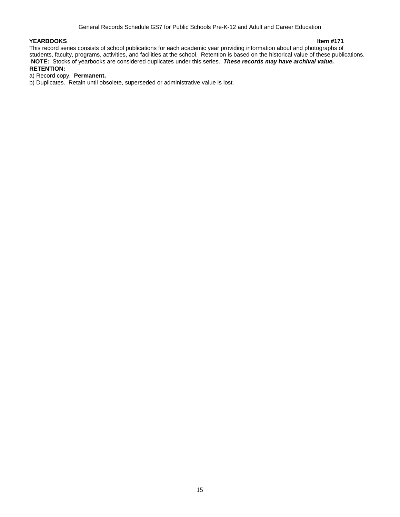**YEARBOOKS Item #171**  This record series consists of school publications for each academic year providing information about and photographs of students, faculty, programs, activities, and facilities at the school. Retention is based on the historical value of these publications. **NOTE:** Stocks of yearbooks are considered duplicates under this series. *These records may have archival value.* **RETENTION:**

### a) Record copy. **Permanent.**

b) Duplicates. Retain until obsolete, superseded or administrative value is lost.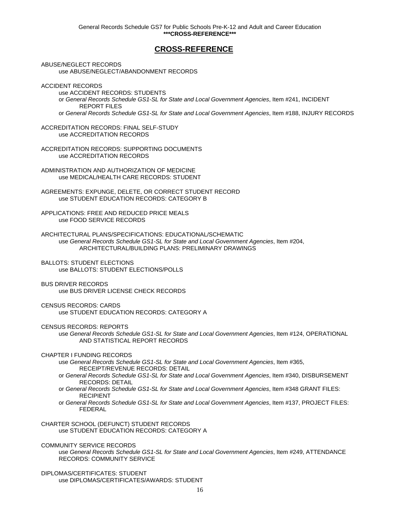### **CROSS-REFERENCE**

<span id="page-24-0"></span>ABUSE/NEGLECT RECORDS use ABUSE/NEGLECT/ABANDONMENT RECORDS

ACCIDENT RECORDS

use ACCIDENT RECORDS: STUDENTS or *General Records Schedule GS1-SL for State and Local Government Agencies*, Item #241, INCIDENT REPORT FILES or *General Records Schedule GS1-SL for State and Local Government Agencies*, Item #188, INJURY RECORDS

ACCREDITATION RECORDS: FINAL SELF-STUDY use ACCREDITATION RECORDS

ACCREDITATION RECORDS: SUPPORTING DOCUMENTS use ACCREDITATION RECORDS

ADMINISTRATION AND AUTHORIZATION OF MEDICINE use MEDICAL/HEALTH CARE RECORDS: STUDENT

AGREEMENTS: EXPUNGE, DELETE, OR CORRECT STUDENT RECORD use STUDENT EDUCATION RECORDS: CATEGORY B

APPLICATIONS: FREE AND REDUCED PRICE MEALS use FOOD SERVICE RECORDS

ARCHITECTURAL PLANS/SPECIFICATIONS: EDUCATIONAL/SCHEMATIC use *General Records Schedule GS1-SL for State and Local Government Agencies*, Item #204, ARCHITECTURAL/BUILDING PLANS: PRELIMINARY DRAWINGS

BALLOTS: STUDENT ELECTIONS use BALLOTS: STUDENT ELECTIONS/POLLS

BUS DRIVER RECORDS use BUS DRIVER LICENSE CHECK RECORDS

CENSUS RECORDS: CARDS use STUDENT EDUCATION RECORDS: CATEGORY A

CENSUS RECORDS: REPORTS

use *General Records Schedule GS1-SL for State and Local Government Agencies*, Item #124, OPERATIONAL AND STATISTICAL REPORT RECORDS

CHAPTER I FUNDING RECORDS

use *General Records Schedule GS1-SL for State and Local Government Agencies*, Item #365, RECEIPT/REVENUE RECORDS: DETAIL

or *General Records Schedule GS1-SL for State and Local Government Agencies*, Item #340, DISBURSEMENT RECORDS: DETAIL

or *General Records Schedule GS1-SL for State and Local Government Agencies*, Item #348 GRANT FILES: RECIPIENT

or *General Records Schedule GS1-SL for State and Local Government Agencies*, Item #137, PROJECT FILES: FEDERAL

CHARTER SCHOOL (DEFUNCT) STUDENT RECORDS use STUDENT EDUCATION RECORDS: CATEGORY A

COMMUNITY SERVICE RECORDS

use *General Records Schedule GS1-SL for State and Local Government Agencies*, Item #249, ATTENDANCE RECORDS: COMMUNITY SERVICE

DIPLOMAS/CERTIFICATES: STUDENT use DIPLOMAS/CERTIFICATES/AWARDS: STUDENT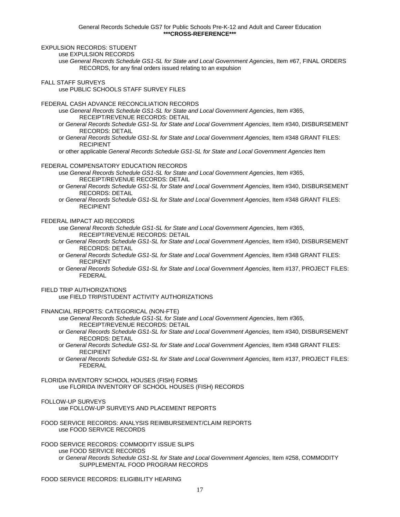EXPULSION RECORDS: STUDENT

use EXPULSION RECORDS

use *General Records Schedule GS1-SL for State and Local Government Agencies*, Item #67, FINAL ORDERS RECORDS, for any final orders issued relating to an expulsion

#### FALL STAFF SURVEYS

use PUBLIC SCHOOLS STAFF SURVEY FILES

#### FEDERAL CASH ADVANCE RECONCILIATION RECORDS

use *General Records Schedule GS1-SL for State and Local Government Agencies*, Item #365, RECEIPT/REVENUE RECORDS: DETAIL

- or *General Records Schedule GS1-SL for State and Local Government Agencies*, Item #340, DISBURSEMENT RECORDS: DETAIL
- or *General Records Schedule GS1-SL for State and Local Government Agencies*, Item #348 GRANT FILES: RECIPIENT
- or other applicable *General Records Schedule GS1-SL for State and Local Government Agencies* Item

#### FEDERAL COMPENSATORY EDUCATION RECORDS

- use *General Records Schedule GS1-SL for State and Local Government Agencies*, Item #365, RECEIPT/REVENUE RECORDS: DETAIL
- or *General Records Schedule GS1-SL for State and Local Government Agencies*, Item #340, DISBURSEMENT RECORDS: DETAIL
- or *General Records Schedule GS1-SL for State and Local Government Agencies*, Item #348 GRANT FILES: RECIPIENT

### FEDERAL IMPACT AID RECORDS

use *General Records Schedule GS1-SL for State and Local Government Agencies*, Item #365, RECEIPT/REVENUE RECORDS: DETAIL

- or *General Records Schedule GS1-SL for State and Local Government Agencies*, Item #340, DISBURSEMENT RECORDS: DETAIL
- or *General Records Schedule GS1-SL for State and Local Government Agencies*, Item #348 GRANT FILES: RECIPIENT
- or *General Records Schedule GS1-SL for State and Local Government Agencies*, Item #137, PROJECT FILES: FEDERAL

#### FIELD TRIP AUTHORIZATIONS

use FIELD TRIP/STUDENT ACTIVITY AUTHORIZATIONS

FINANCIAL REPORTS: CATEGORICAL (NON-FTE)

- use *General Records Schedule GS1-SL for State and Local Government Agencies*, Item #365, RECEIPT/REVENUE RECORDS: DETAIL
- or *General Records Schedule GS1-SL for State and Local Government Agencies*, Item #340, DISBURSEMENT RECORDS: DETAIL
- or *General Records Schedule GS1-SL for State and Local Government Agencies*, Item #348 GRANT FILES: RECIPIENT
- or *General Records Schedule GS1-SL for State and Local Government Agencies*, Item #137, PROJECT FILES: FEDERAL

FLORIDA INVENTORY SCHOOL HOUSES (FISH) FORMS use FLORIDA INVENTORY OF SCHOOL HOUSES (FISH) RECORDS

### FOLLOW-UP SURVEYS

use FOLLOW-UP SURVEYS AND PLACEMENT REPORTS

FOOD SERVICE RECORDS: ANALYSIS REIMBURSEMENT/CLAIM REPORTS use FOOD SERVICE RECORDS

FOOD SERVICE RECORDS: COMMODITY ISSUE SLIPS use FOOD SERVICE RECORDS or *General Records Schedule GS1-SL for State and Local Government Agencies*, Item #258, COMMODITY SUPPLEMENTAL FOOD PROGRAM RECORDS

FOOD SERVICE RECORDS: ELIGIBILITY HEARING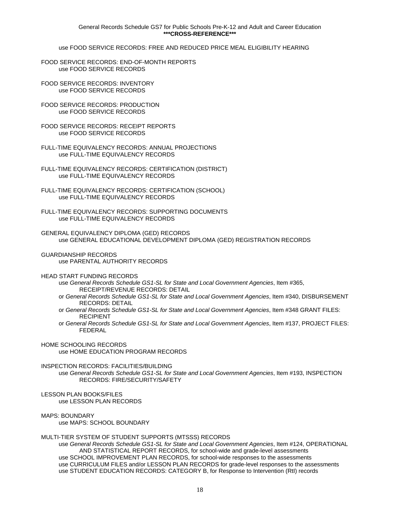use FOOD SERVICE RECORDS: FREE AND REDUCED PRICE MEAL ELIGIBILITY HEARING

- FOOD SERVICE RECORDS: END-OF-MONTH REPORTS use FOOD SERVICE RECORDS
- FOOD SERVICE RECORDS: INVENTORY use FOOD SERVICE RECORDS
- FOOD SERVICE RECORDS: PRODUCTION use FOOD SERVICE RECORDS
- FOOD SERVICE RECORDS: RECEIPT REPORTS use FOOD SERVICE RECORDS
- FULL-TIME EQUIVALENCY RECORDS: ANNUAL PROJECTIONS use FULL-TIME EQUIVALENCY RECORDS
- FULL-TIME EQUIVALENCY RECORDS: CERTIFICATION (DISTRICT) use FULL-TIME EQUIVALENCY RECORDS
- FULL-TIME EQUIVALENCY RECORDS: CERTIFICATION (SCHOOL) use FULL-TIME EQUIVALENCY RECORDS
- FULL-TIME EQUIVALENCY RECORDS: SUPPORTING DOCUMENTS use FULL-TIME EQUIVALENCY RECORDS
- GENERAL EQUIVALENCY DIPLOMA (GED) RECORDS use GENERAL EDUCATIONAL DEVELOPMENT DIPLOMA (GED) REGISTRATION RECORDS
- GUARDIANSHIP RECORDS use PARENTAL AUTHORITY RECORDS
- HEAD START FUNDING RECORDS
	- use *General Records Schedule GS1-SL for State and Local Government Agencies*, Item #365, RECEIPT/REVENUE RECORDS: DETAIL
	- or *General Records Schedule GS1-SL for State and Local Government Agencies*, Item #340, DISBURSEMENT RECORDS: DETAIL
	- or *General Records Schedule GS1-SL for State and Local Government Agencies*, Item #348 GRANT FILES: RECIPIENT
	- or *General Records Schedule GS1-SL for State and Local Government Agencies*, Item #137, PROJECT FILES: FEDERAL
- HOME SCHOOLING RECORDS use HOME EDUCATION PROGRAM RECORDS
- INSPECTION RECORDS: FACILITIES/BUILDING
	- use *General Records Schedule GS1-SL for State and Local Government Agencies*, Item #193, INSPECTION RECORDS: FIRE/SECURITY/SAFETY
- LESSON PLAN BOOKS/FILES use LESSON PLAN RECORDS
- MAPS: BOUNDARY

use MAPS: SCHOOL BOUNDARY

#### MULTI-TIER SYSTEM OF STUDENT SUPPORTS (MTSSS) RECORDS

use *General Records Schedule GS1-SL for State and Local Government Agencies*, Item #124, OPERATIONAL AND STATISTICAL REPORT RECORDS, for school-wide and grade-level assessments use SCHOOL IMPROVEMENT PLAN RECORDS, for school-wide responses to the assessments use CURRICULUM FILES and/or LESSON PLAN RECORDS for grade-level responses to the assessments use STUDENT EDUCATION RECORDS: CATEGORY B, for Response to Intervention (RtI) records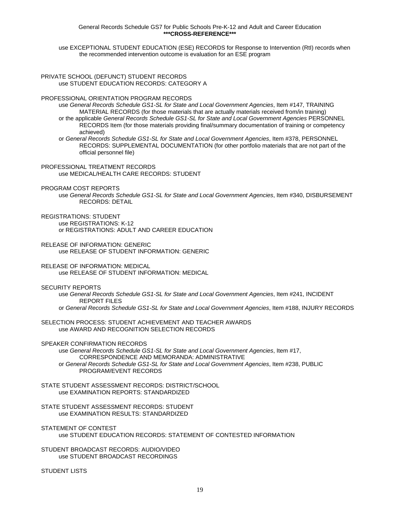General Records Schedule GS7 for Public Schools Pre-K-12 and Adult and Career Education **\*\*\*CROSS-REFERENCE\*\*\*** 

use EXCEPTIONAL STUDENT EDUCATION (ESE) RECORDS for Response to Intervention (RtI) records when the recommended intervention outcome is evaluation for an ESE program

PRIVATE SCHOOL (DEFUNCT) STUDENT RECORDS use STUDENT EDUCATION RECORDS: CATEGORY A

PROFESSIONAL ORIENTATION PROGRAM RECORDS

use *General Records Schedule GS1-SL for State and Local Government Agencies*, Item #147, TRAINING MATERIAL RECORDS (for those materials that are actually materials received from/in training) or the applicable *General Records Schedule GS1-SL for State and Local Government Agencies* PERSONNEL

RECORDS Item (for those materials providing final/summary documentation of training or competency achieved)

or *General Records Schedule GS1-SL for State and Local Government Agencies*, Item #378, PERSONNEL RECORDS: SUPPLEMENTAL DOCUMENTATION (for other portfolio materials that are not part of the official personnel file)

PROFESSIONAL TREATMENT RECORDS use MEDICAL/HEALTH CARE RECORDS: STUDENT

#### PROGRAM COST REPORTS

use *General Records Schedule GS1-SL for State and Local Government Agencies*, Item #340, DISBURSEMENT RECORDS: DETAIL

REGISTRATIONS: STUDENT

use REGISTRATIONS: K-12 or REGISTRATIONS: ADULT AND CAREER EDUCATION

RELEASE OF INFORMATION: GENERIC use RELEASE OF STUDENT INFORMATION: GENERIC

RELEASE OF INFORMATION: MEDICAL use RELEASE OF STUDENT INFORMATION: MEDICAL

SECURITY REPORTS

use *General Records Schedule GS1-SL for State and Local Government Agencies*, Item #241, INCIDENT REPORT FILES

or *General Records Schedule GS1-SL for State and Local Government Agencies*, Item #188, INJURY RECORDS

SELECTION PROCESS: STUDENT ACHIEVEMENT AND TEACHER AWARDS use AWARD AND RECOGNITION SELECTION RECORDS

SPEAKER CONFIRMATION RECORDS

use *General Records Schedule GS1-SL for State and Local Government Agencies*, Item #17, CORRESPONDENCE AND MEMORANDA: ADMINISTRATIVE or *General Records Schedule GS1-SL for State and Local Government Agencies*, Item #238, PUBLIC PROGRAM/EVENT RECORDS

STATE STUDENT ASSESSMENT RECORDS: DISTRICT/SCHOOL use EXAMINATION REPORTS: STANDARDIZED

STATE STUDENT ASSESSMENT RECORDS: STUDENT use EXAMINATION RESULTS: STANDARDIZED

STATEMENT OF CONTEST use STUDENT EDUCATION RECORDS: STATEMENT OF CONTESTED INFORMATION

STUDENT BROADCAST RECORDS: AUDIO/VIDEO use STUDENT BROADCAST RECORDINGS

STUDENT LISTS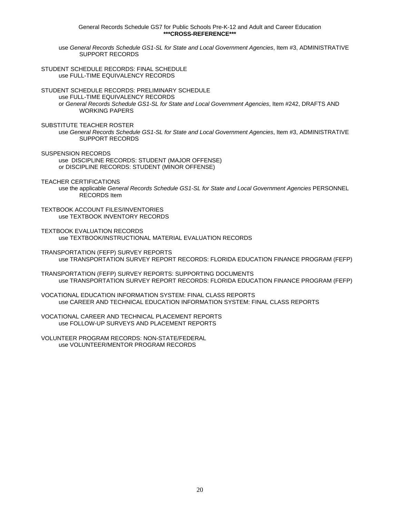General Records Schedule GS7 for Public Schools Pre-K-12 and Adult and Career Education **\*\*\*CROSS-REFERENCE\*\*\*** 

use *General Records Schedule GS1-SL for State and Local Government Agencies*, Item #3, ADMINISTRATIVE SUPPORT RECORDS

STUDENT SCHEDULE RECORDS: FINAL SCHEDULE use FULL-TIME EQUIVALENCY RECORDS

STUDENT SCHEDULE RECORDS: PRELIMINARY SCHEDULE

use FULL-TIME EQUIVALENCY RECORDS or *General Records Schedule GS1-SL for State and Local Government Agencies*, Item #242, DRAFTS AND WORKING PAPERS

SUBSTITUTE TEACHER ROSTER

use *General Records Schedule GS1-SL for State and Local Government Agencies*, Item #3, ADMINISTRATIVE SUPPORT RECORDS

SUSPENSION RECORDS use DISCIPLINE RECORDS: STUDENT (MAJOR OFFENSE) or DISCIPLINE RECORDS: STUDENT (MINOR OFFENSE)

TEACHER CERTIFICATIONS

use the applicable *General Records Schedule GS1-SL for State and Local Government Agencies* PERSONNEL RECORDS Item

TEXTBOOK ACCOUNT FILES/INVENTORIES use TEXTBOOK INVENTORY RECORDS

TEXTBOOK EVALUATION RECORDS use TEXTBOOK/INSTRUCTIONAL MATERIAL EVALUATION RECORDS

TRANSPORTATION (FEFP) SURVEY REPORTS use TRANSPORTATION SURVEY REPORT RECORDS: FLORIDA EDUCATION FINANCE PROGRAM (FEFP)

TRANSPORTATION (FEFP) SURVEY REPORTS: SUPPORTING DOCUMENTS use TRANSPORTATION SURVEY REPORT RECORDS: FLORIDA EDUCATION FINANCE PROGRAM (FEFP)

VOCATIONAL EDUCATION INFORMATION SYSTEM: FINAL CLASS REPORTS use CAREER AND TECHNICAL EDUCATION INFORMATION SYSTEM: FINAL CLASS REPORTS

VOCATIONAL CAREER AND TECHNICAL PLACEMENT REPORTS use FOLLOW-UP SURVEYS AND PLACEMENT REPORTS

VOLUNTEER PROGRAM RECORDS: NON-STATE/FEDERAL use VOLUNTEER/MENTOR PROGRAM RECORDS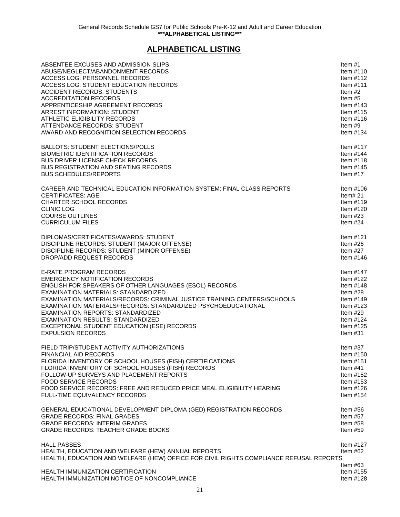# **ALPHABETICAL LISTING**

<span id="page-29-0"></span>

| ABSENTEE EXCUSES AND ADMISSION SLIPS                                                                                                                               | Item $#1$                              |
|--------------------------------------------------------------------------------------------------------------------------------------------------------------------|----------------------------------------|
| ABUSE/NEGLECT/ABANDONMENT RECORDS                                                                                                                                  | Item $#110$                            |
| ACCESS LOG: PERSONNEL RECORDS                                                                                                                                      | Item $#112$                            |
| ACCESS LOG: STUDENT EDUCATION RECORDS                                                                                                                              | Item $#111$                            |
| <b>ACCIDENT RECORDS: STUDENTS</b>                                                                                                                                  | Item $#2$                              |
| <b>ACCREDITATION RECORDS</b>                                                                                                                                       | Item #5                                |
| APPRENTICESHIP AGREEMENT RECORDS                                                                                                                                   | Item $#143$                            |
| <b>ARREST INFORMATION: STUDENT</b>                                                                                                                                 | Item $\#115$                           |
| ATHLETIC ELIGIBILITY RECORDS                                                                                                                                       | Item $#116$                            |
| ATTENDANCE RECORDS: STUDENT                                                                                                                                        | Item $#9$                              |
| AWARD AND RECOGNITION SELECTION RECORDS                                                                                                                            | Item $#134$                            |
| <b>BALLOTS: STUDENT ELECTIONS/POLLS</b>                                                                                                                            | Item $#117$                            |
| <b>BIOMETRIC IDENTIFICATION RECORDS</b>                                                                                                                            | Item $#144$                            |
| <b>BUS DRIVER LICENSE CHECK RECORDS</b>                                                                                                                            | Item $#118$                            |
| <b>BUS REGISTRATION AND SEATING RECORDS</b>                                                                                                                        | Item $#145$                            |
| <b>BUS SCHEDULES/REPORTS</b>                                                                                                                                       | Item $#17$                             |
| CAREER AND TECHNICAL EDUCATION INFORMATION SYSTEM: FINAL CLASS REPORTS                                                                                             | Item $#106$                            |
| <b>CERTIFICATES: AGE</b>                                                                                                                                           | Item# $21$                             |
| <b>CHARTER SCHOOL RECORDS</b>                                                                                                                                      | Item $\#119$                           |
| <b>CLINIC LOG</b>                                                                                                                                                  | Item $#120$                            |
| <b>COURSE OUTLINES</b>                                                                                                                                             | Item $#23$                             |
| <b>CURRICULUM FILES</b>                                                                                                                                            | Item $#24$                             |
| DIPLOMAS/CERTIFICATES/AWARDS: STUDENT                                                                                                                              | Item $#121$                            |
| DISCIPLINE RECORDS: STUDENT (MAJOR OFFENSE)                                                                                                                        | Item $#26$                             |
| DISCIPLINE RECORDS: STUDENT (MINOR OFFENSE)                                                                                                                        | Item $#27$                             |
| DROP/ADD REQUEST RECORDS                                                                                                                                           | Item $#146$                            |
| <b>E-RATE PROGRAM RECORDS</b>                                                                                                                                      | Item $#147$                            |
| <b>EMERGENCY NOTIFICATION RECORDS</b>                                                                                                                              | Item $#122$                            |
| <b>ENGLISH FOR SPEAKERS OF OTHER LANGUAGES (ESOL) RECORDS</b>                                                                                                      | Item $#148$                            |
| EXAMINATION MATERIALS: STANDARDIZED                                                                                                                                | Item $#28$                             |
| EXAMINATION MATERIALS/RECORDS: CRIMINAL JUSTICE TRAINING CENTERS/SCHOOLS                                                                                           | Item $#149$                            |
| EXAMINATION MATERIALS/RECORDS: STANDARDIZED PSYCHOEDUCATIONAL                                                                                                      | Item $#123$                            |
| EXAMINATION REPORTS: STANDARDIZED                                                                                                                                  | Item $#29$                             |
| <b>EXAMINATION RESULTS: STANDARDIZED</b>                                                                                                                           | Item $#124$                            |
| EXCEPTIONAL STUDENT EDUCATION (ESE) RECORDS                                                                                                                        | Item $#125$                            |
| <b>EXPULSION RECORDS</b>                                                                                                                                           | Item $#31$                             |
| FIELD TRIP/STUDENT ACTIVITY AUTHORIZATIONS                                                                                                                         | Item $#37$                             |
| FINANCIAL AID RECORDS                                                                                                                                              | Item $#150$                            |
| FLORIDA INVENTORY OF SCHOOL HOUSES (FISH) CERTIFICATIONS                                                                                                           | Item $#151$                            |
| FLORIDA INVENTORY OF SCHOOL HOUSES (FISH) RECORDS                                                                                                                  | Item $#41$                             |
| FOLLOW-UP SURVEYS AND PLACEMENT REPORTS                                                                                                                            | Item $#152$                            |
| <b>FOOD SERVICE RECORDS</b>                                                                                                                                        | Item $#153$                            |
| FOOD SERVICE RECORDS: FREE AND REDUCED PRICE MEAL ELIGIBILITY HEARING                                                                                              | Item $#126$                            |
| FULL-TIME EQUIVALENCY RECORDS                                                                                                                                      | Item $#154$                            |
| GENERAL EDUCATIONAL DEVELOPMENT DIPLOMA (GED) REGISTRATION RECORDS                                                                                                 | Item $#56$                             |
| <b>GRADE RECORDS: FINAL GRADES</b>                                                                                                                                 | Item $#57$                             |
| <b>GRADE RECORDS: INTERIM GRADES</b>                                                                                                                               | Item $#58$                             |
| <b>GRADE RECORDS: TEACHER GRADE BOOKS</b>                                                                                                                          | Item $#59$                             |
| <b>HALL PASSES</b><br>HEALTH, EDUCATION AND WELFARE (HEW) ANNUAL REPORTS<br>HEALTH, EDUCATION AND WELFARE (HEW) OFFICE FOR CIVIL RIGHTS COMPLIANCE REFUSAL REPORTS | Item $#127$<br>Item $#62$              |
| HEALTH IMMUNIZATION CERTIFICATION<br>HEALTH IMMUNIZATION NOTICE OF NONCOMPLIANCE                                                                                   | ltem #63<br>Item $#155$<br>Item $#128$ |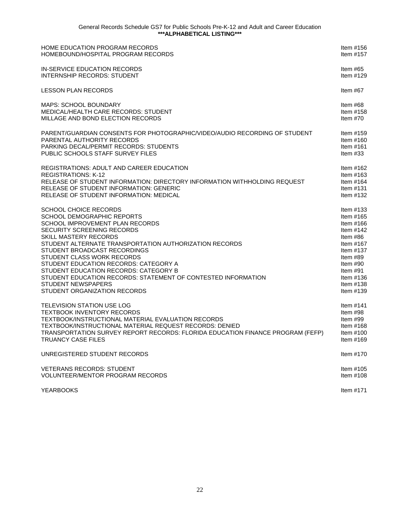| HOME EDUCATION PROGRAM RECORDS                                                 | Item #156    |
|--------------------------------------------------------------------------------|--------------|
| HOMEBOUND/HOSPITAL PROGRAM RECORDS                                             | Item $#157$  |
| IN-SERVICE EDUCATION RECORDS                                                   | Item $#65$   |
| <b>INTERNSHIP RECORDS: STUDENT</b>                                             | Item $#129$  |
| <b>LESSON PLAN RECORDS</b>                                                     | Item $#67$   |
| <b>MAPS: SCHOOL BOUNDARY</b>                                                   | Item #68     |
| <b>MEDICAL/HEALTH CARE RECORDS: STUDENT</b>                                    | Item $#158$  |
| MILLAGE AND BOND ELECTION RECORDS                                              | Item $#70$   |
| PARENT/GUARDIAN CONSENTS FOR PHOTOGRAPHIC/VIDEO/AUDIO RECORDING OF STUDENT     | Item $#159$  |
| PARENTAL AUTHORITY RECORDS                                                     | Item $#160$  |
| PARKING DECAL/PERMIT RECORDS: STUDENTS                                         | Item $#161$  |
| PUBLIC SCHOOLS STAFF SURVEY FILES                                              | Item $#33$   |
| REGISTRATIONS: ADULT AND CAREER EDUCATION                                      | Item $#162$  |
| <b>REGISTRATIONS: K-12</b>                                                     | Item $#163$  |
| RELEASE OF STUDENT INFORMATION: DIRECTORY INFORMATION WITHHOLDING REQUEST      | Item #164    |
| RELEASE OF STUDENT INFORMATION: GENERIC                                        | Item $#131$  |
| RELEASE OF STUDENT INFORMATION: MEDICAL                                        | Item $#132$  |
| <b>SCHOOL CHOICE RECORDS</b>                                                   | Item $#133$  |
| <b>SCHOOL DEMOGRAPHIC REPORTS</b>                                              | Item $#165$  |
| SCHOOL IMPROVEMENT PLAN RECORDS                                                | Item $\#166$ |
| SECURITY SCREENING RECORDS                                                     | Item $#142$  |
| <b>SKILL MASTERY RECORDS</b>                                                   | Item #86     |
| STUDENT ALTERNATE TRANSPORTATION AUTHORIZATION RECORDS                         | Item $#167$  |
| STUDENT BROADCAST RECORDINGS                                                   | Item $#137$  |
| STUDENT CLASS WORK RECORDS                                                     | Item #89     |
| STUDENT EDUCATION RECORDS: CATEGORY A                                          | Item $#90$   |
| STUDENT EDUCATION RECORDS: CATEGORY B                                          | Item $#91$   |
| STUDENT EDUCATION RECORDS: STATEMENT OF CONTESTED INFORMATION                  | Item $#136$  |
| <b>STUDENT NEWSPAPERS</b>                                                      | Item $#138$  |
| STUDENT ORGANIZATION RECORDS                                                   | Item #139    |
| <b>TELEVISION STATION USE LOG</b>                                              | Item $#141$  |
| <b>TEXTBOOK INVENTORY RECORDS</b>                                              | Item $#98$   |
| TEXTBOOK/INSTRUCTIONAL MATERIAL EVALUATION RECORDS                             | Item $#99$   |
| TEXTBOOK/INSTRUCTIONAL MATERIAL REQUEST RECORDS: DENIED                        | Item $#168$  |
| TRANSPORTATION SURVEY REPORT RECORDS: FLORIDA EDUCATION FINANCE PROGRAM (FEFP) | Item $\#100$ |
| <b>TRUANCY CASE FILES</b>                                                      | Item $#169$  |
| UNREGISTERED STUDENT RECORDS                                                   | Item $#170$  |
| <b>VETERANS RECORDS: STUDENT</b>                                               | Item $#105$  |
| <b>VOLUNTEER/MENTOR PROGRAM RECORDS</b>                                        | Item $#108$  |
| <b>YEARBOOKS</b>                                                               | Item $#171$  |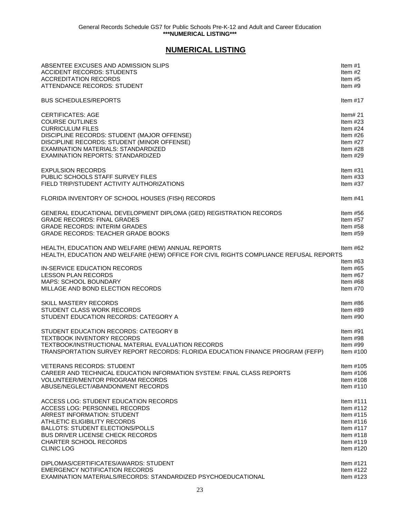# **NUMERICAL LISTING**

<span id="page-31-0"></span>

| ABSENTEE EXCUSES AND ADMISSION SLIPS                                                                                                         | Item $#1$                                                        |
|----------------------------------------------------------------------------------------------------------------------------------------------|------------------------------------------------------------------|
| <b>ACCIDENT RECORDS: STUDENTS</b>                                                                                                            | Item $#2$                                                        |
| <b>ACCREDITATION RECORDS</b>                                                                                                                 | Item $#5$                                                        |
| ATTENDANCE RECORDS: STUDENT                                                                                                                  | Item $#9$                                                        |
| <b>BUS SCHEDULES/REPORTS</b>                                                                                                                 | Item $#17$                                                       |
| <b>CERTIFICATES: AGE</b>                                                                                                                     | Item# $21$                                                       |
| <b>COURSE OUTLINES</b>                                                                                                                       | Item $#23$                                                       |
| <b>CURRICULUM FILES</b>                                                                                                                      | Item $#24$                                                       |
| DISCIPLINE RECORDS: STUDENT (MAJOR OFFENSE)                                                                                                  | Item $#26$                                                       |
| DISCIPLINE RECORDS: STUDENT (MINOR OFFENSE)                                                                                                  | Item $#27$                                                       |
| <b>EXAMINATION MATERIALS: STANDARDIZED</b>                                                                                                   | Item $#28$                                                       |
| EXAMINATION REPORTS: STANDARDIZED                                                                                                            | Item $#29$                                                       |
| <b>EXPULSION RECORDS</b>                                                                                                                     | Item $#31$                                                       |
| PUBLIC SCHOOLS STAFF SURVEY FILES                                                                                                            | Item $#33$                                                       |
| FIELD TRIP/STUDENT ACTIVITY AUTHORIZATIONS                                                                                                   | Item $#37$                                                       |
| FLORIDA INVENTORY OF SCHOOL HOUSES (FISH) RECORDS                                                                                            | Item $#41$                                                       |
| GENERAL EDUCATIONAL DEVELOPMENT DIPLOMA (GED) REGISTRATION RECORDS                                                                           | Item $#56$                                                       |
| <b>GRADE RECORDS: FINAL GRADES</b>                                                                                                           | Item $#57$                                                       |
| <b>GRADE RECORDS: INTERIM GRADES</b>                                                                                                         | Item $#58$                                                       |
| <b>GRADE RECORDS: TEACHER GRADE BOOKS</b>                                                                                                    | Item $#59$                                                       |
| HEALTH, EDUCATION AND WELFARE (HEW) ANNUAL REPORTS<br>HEALTH, EDUCATION AND WELFARE (HEW) OFFICE FOR CIVIL RIGHTS COMPLIANCE REFUSAL REPORTS | Item #62                                                         |
| IN-SERVICE EDUCATION RECORDS<br><b>LESSON PLAN RECORDS</b><br><b>MAPS: SCHOOL BOUNDARY</b><br>MILLAGE AND BOND ELECTION RECORDS              | Item #63<br>Item $#65$<br>Item $#67$<br>Item $#68$<br>Item $#70$ |
| SKILL MASTERY RECORDS                                                                                                                        | Item #86                                                         |
| STUDENT CLASS WORK RECORDS                                                                                                                   | Item $#89$                                                       |
| STUDENT EDUCATION RECORDS: CATEGORY A                                                                                                        | Item $#90$                                                       |
| STUDENT EDUCATION RECORDS: CATEGORY B                                                                                                        | Item $#91$                                                       |
| <b>TEXTBOOK INVENTORY RECORDS</b>                                                                                                            | Item #98                                                         |
| TEXTBOOK/INSTRUCTIONAL MATERIAL EVALUATION RECORDS                                                                                           | Item #99                                                         |
| TRANSPORTATION SURVEY REPORT RECORDS: FLORIDA EDUCATION FINANCE PROGRAM (FEFP)                                                               | Item #100                                                        |
| VETERANS RECORDS: STUDENT                                                                                                                    | Item $#105$                                                      |
| CAREER AND TECHNICAL EDUCATION INFORMATION SYSTEM: FINAL CLASS REPORTS                                                                       | Item $#106$                                                      |
| <b>VOLUNTEER/MENTOR PROGRAM RECORDS</b>                                                                                                      | Item $#108$                                                      |
| ABUSE/NEGLECT/ABANDONMENT RECORDS                                                                                                            | Item $#110$                                                      |
| ACCESS LOG: STUDENT EDUCATION RECORDS                                                                                                        | Item #111                                                        |
| ACCESS LOG: PERSONNEL RECORDS                                                                                                                | Item $#112$                                                      |
| <b>ARREST INFORMATION: STUDENT</b>                                                                                                           | Item $#115$                                                      |
| ATHLETIC ELIGIBILITY RECORDS                                                                                                                 | Item $#116$                                                      |
| <b>BALLOTS: STUDENT ELECTIONS/POLLS</b>                                                                                                      | Item $#117$                                                      |
| <b>BUS DRIVER LICENSE CHECK RECORDS</b>                                                                                                      | Item $#118$                                                      |
| <b>CHARTER SCHOOL RECORDS</b>                                                                                                                | Item $#119$                                                      |
| <b>CLINIC LOG</b>                                                                                                                            | Item $#120$                                                      |
| DIPLOMAS/CERTIFICATES/AWARDS: STUDENT                                                                                                        | Item $#121$                                                      |
| <b>EMERGENCY NOTIFICATION RECORDS</b>                                                                                                        | Item $#122$                                                      |
| EXAMINATION MATERIALS/RECORDS: STANDARDIZED PSYCHOEDUCATIONAL                                                                                | Item $#123$                                                      |